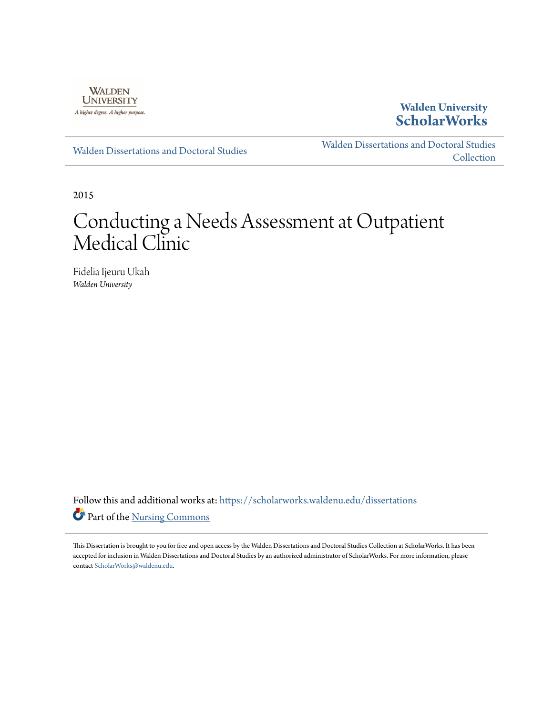

### **Walden University [ScholarWorks](https://scholarworks.waldenu.edu?utm_source=scholarworks.waldenu.edu%2Fdissertations%2F1630&utm_medium=PDF&utm_campaign=PDFCoverPages)**

[Walden Dissertations and Doctoral Studies](https://scholarworks.waldenu.edu/dissertations?utm_source=scholarworks.waldenu.edu%2Fdissertations%2F1630&utm_medium=PDF&utm_campaign=PDFCoverPages)

[Walden Dissertations and Doctoral Studies](https://scholarworks.waldenu.edu/dissanddoc?utm_source=scholarworks.waldenu.edu%2Fdissertations%2F1630&utm_medium=PDF&utm_campaign=PDFCoverPages) **[Collection](https://scholarworks.waldenu.edu/dissanddoc?utm_source=scholarworks.waldenu.edu%2Fdissertations%2F1630&utm_medium=PDF&utm_campaign=PDFCoverPages)** 

2015

# Conducting a Needs Assessment at Outpatient Medical Clinic

Fidelia Ijeuru Ukah *Walden University*

Follow this and additional works at: [https://scholarworks.waldenu.edu/dissertations](https://scholarworks.waldenu.edu/dissertations?utm_source=scholarworks.waldenu.edu%2Fdissertations%2F1630&utm_medium=PDF&utm_campaign=PDFCoverPages) Part of the [Nursing Commons](http://network.bepress.com/hgg/discipline/718?utm_source=scholarworks.waldenu.edu%2Fdissertations%2F1630&utm_medium=PDF&utm_campaign=PDFCoverPages)

This Dissertation is brought to you for free and open access by the Walden Dissertations and Doctoral Studies Collection at ScholarWorks. It has been accepted for inclusion in Walden Dissertations and Doctoral Studies by an authorized administrator of ScholarWorks. For more information, please contact [ScholarWorks@waldenu.edu](mailto:ScholarWorks@waldenu.edu).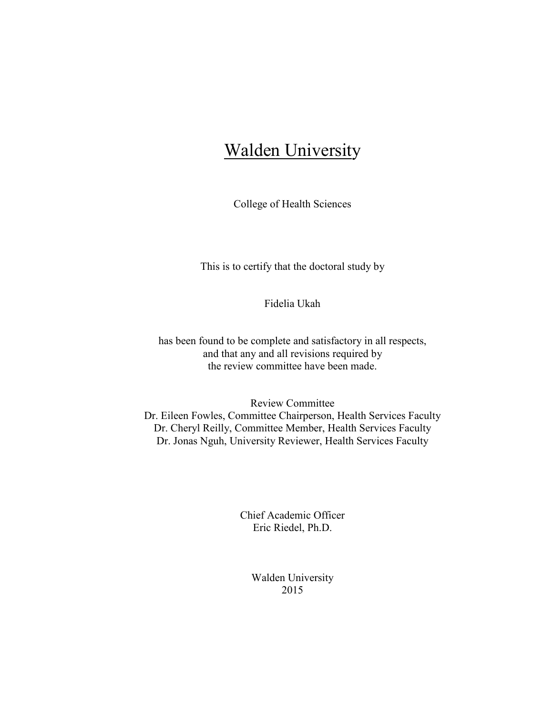# **Walden University**

College of Health Sciences

This is to certify that the doctoral study by

Fidelia Ukah

has been found to be complete and satisfactory in all respects, and that any and all revisions required by the review committee have been made.

Review Committee Dr. Eileen Fowles, Committee Chairperson, Health Services Faculty Dr. Cheryl Reilly, Committee Member, Health Services Faculty Dr. Jonas Nguh, University Reviewer, Health Services Faculty

> Chief Academic Officer Eric Riedel, Ph.D.

> > Walden University 2015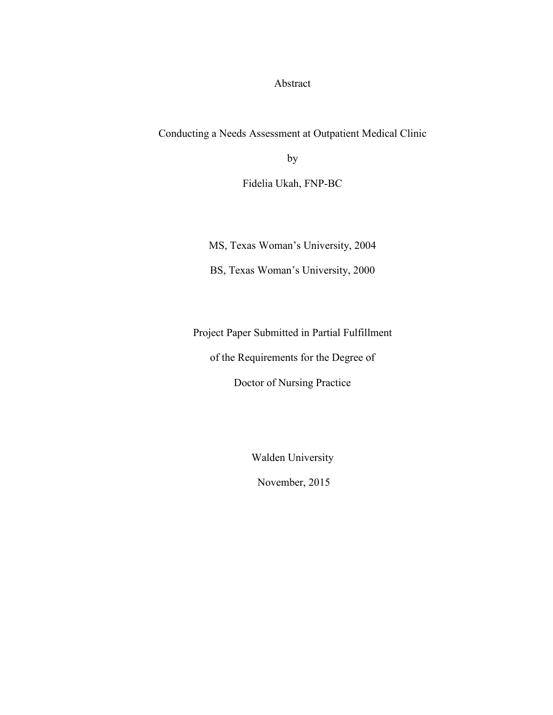Abstract

Conducting a Needs Assessment at Outpatient Medical Clinic

by

Fidelia Ukah, FNP-BC

MS, Texas Woman's University, 2004

BS, Texas Woman's University, 2000

Project Paper Submitted in Partial Fulfillment

of the Requirements for the Degree of

Doctor of Nursing Practice

Walden University

November, 2015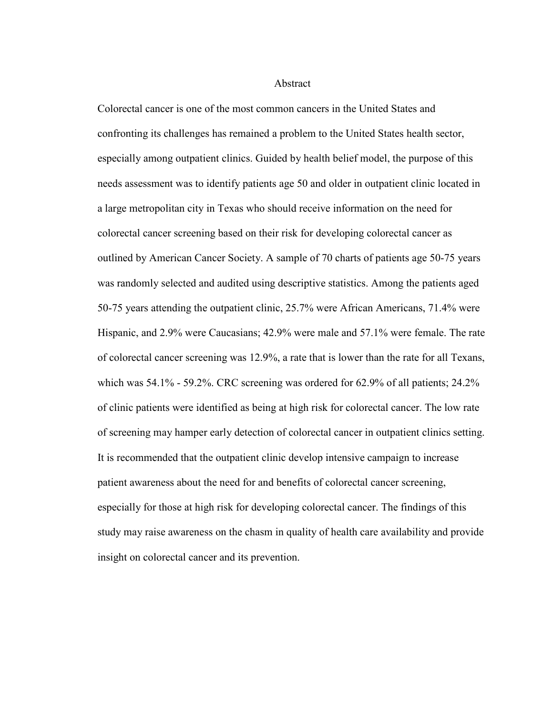#### Abstract

Colorectal cancer is one of the most common cancers in the United States and confronting its challenges has remained a problem to the United States health sector, especially among outpatient clinics. Guided by health belief model, the purpose of this needs assessment was to identify patients age 50 and older in outpatient clinic located in a large metropolitan city in Texas who should receive information on the need for colorectal cancer screening based on their risk for developing colorectal cancer as outlined by American Cancer Society. A sample of 70 charts of patients age 50-75 years was randomly selected and audited using descriptive statistics. Among the patients aged 50-75 years attending the outpatient clinic, 25.7% were African Americans, 71.4% were Hispanic, and 2.9% were Caucasians; 42.9% were male and 57.1% were female. The rate of colorectal cancer screening was 12.9%, a rate that is lower than the rate for all Texans, which was 54.1% - 59.2%. CRC screening was ordered for 62.9% of all patients; 24.2% of clinic patients were identified as being at high risk for colorectal cancer. The low rate of screening may hamper early detection of colorectal cancer in outpatient clinics setting. It is recommended that the outpatient clinic develop intensive campaign to increase patient awareness about the need for and benefits of colorectal cancer screening, especially for those at high risk for developing colorectal cancer. The findings of this study may raise awareness on the chasm in quality of health care availability and provide insight on colorectal cancer and its prevention.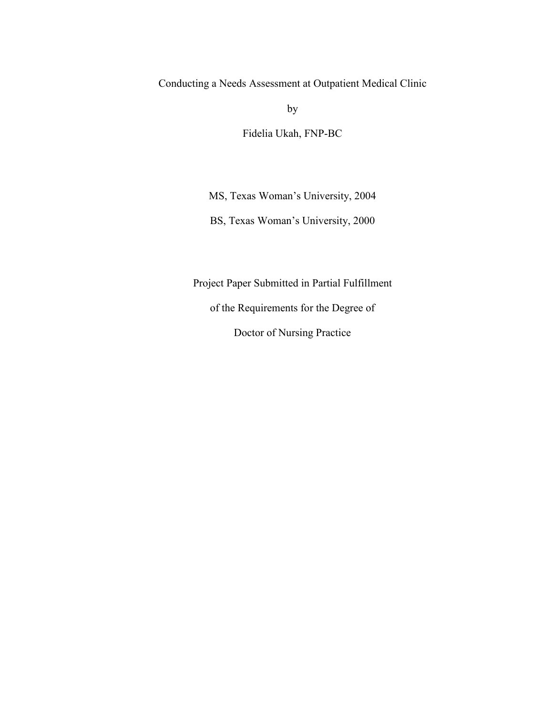Conducting a Needs Assessment at Outpatient Medical Clinic

by

Fidelia Ukah, FNP-BC

MS, Texas Woman's University, 2004

BS, Texas Woman's University, 2000

Project Paper Submitted in Partial Fulfillment

of the Requirements for the Degree of

Doctor of Nursing Practice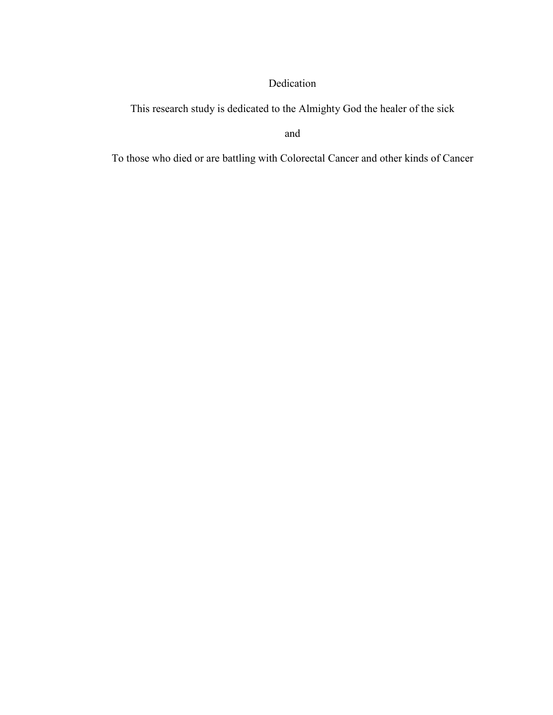### Dedication

This research study is dedicated to the Almighty God the healer of the sick

and

To those who died or are battling with Colorectal Cancer and other kinds of Cancer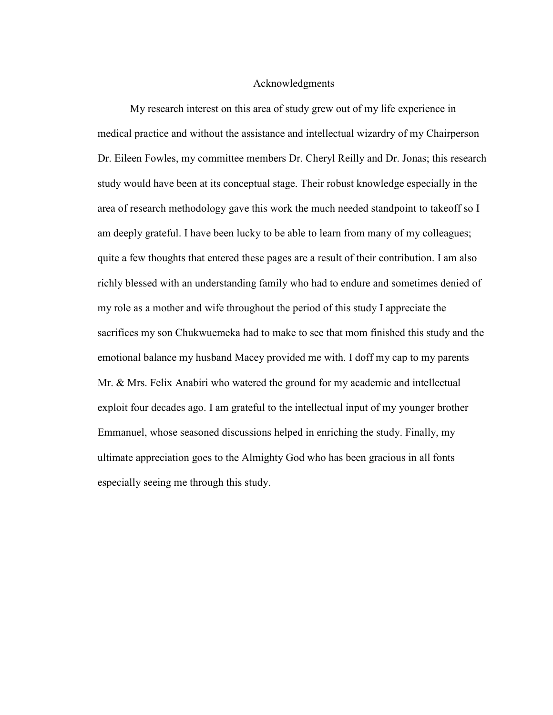#### Acknowledgments

My research interest on this area of study grew out of my life experience in medical practice and without the assistance and intellectual wizardry of my Chairperson Dr. Eileen Fowles, my committee members Dr. Cheryl Reilly and Dr. Jonas; this research study would have been at its conceptual stage. Their robust knowledge especially in the area of research methodology gave this work the much needed standpoint to takeoff so I am deeply grateful. I have been lucky to be able to learn from many of my colleagues; quite a few thoughts that entered these pages are a result of their contribution. I am also richly blessed with an understanding family who had to endure and sometimes denied of my role as a mother and wife throughout the period of this study I appreciate the sacrifices my son Chukwuemeka had to make to see that mom finished this study and the emotional balance my husband Macey provided me with. I doff my cap to my parents Mr. & Mrs. Felix Anabiri who watered the ground for my academic and intellectual exploit four decades ago. I am grateful to the intellectual input of my younger brother Emmanuel, whose seasoned discussions helped in enriching the study. Finally, my ultimate appreciation goes to the Almighty God who has been gracious in all fonts especially seeing me through this study.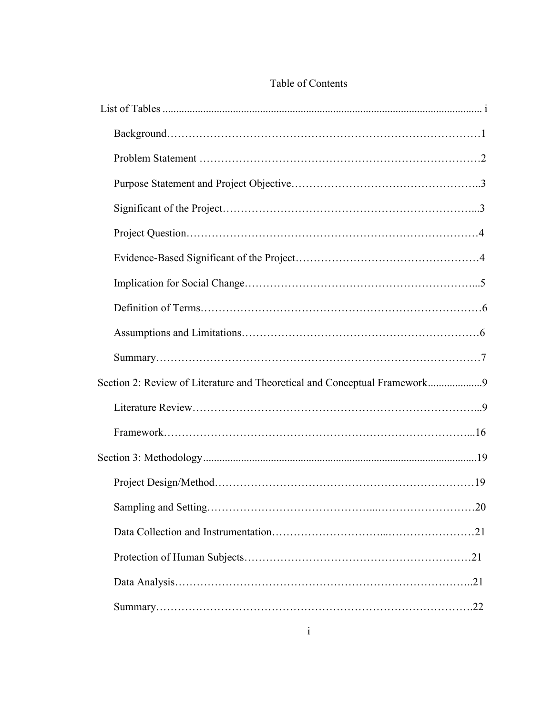| Section 2: Review of Literature and Theoretical and Conceptual Framework9 |
|---------------------------------------------------------------------------|
|                                                                           |
|                                                                           |
|                                                                           |
|                                                                           |
|                                                                           |
|                                                                           |
|                                                                           |
|                                                                           |
|                                                                           |

### Table of Contents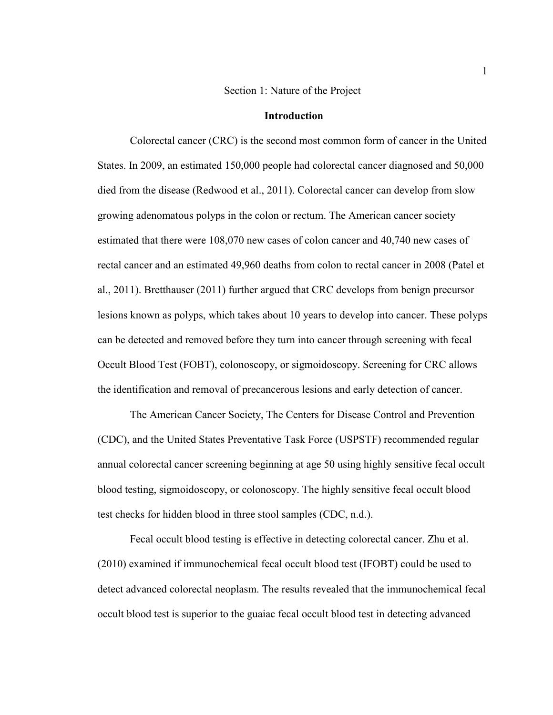#### Section 1: Nature of the Project

#### **Introduction**

Colorectal cancer (CRC) is the second most common form of cancer in the United States. In 2009, an estimated 150,000 people had colorectal cancer diagnosed and 50,000 died from the disease (Redwood et al., 2011). Colorectal cancer can develop from slow growing adenomatous polyps in the colon or rectum. The American cancer society estimated that there were 108,070 new cases of colon cancer and 40,740 new cases of rectal cancer and an estimated 49,960 deaths from colon to rectal cancer in 2008 (Patel et al., 2011). Bretthauser (2011) further argued that CRC develops from benign precursor lesions known as polyps, which takes about 10 years to develop into cancer. These polyps can be detected and removed before they turn into cancer through screening with fecal Occult Blood Test (FOBT), colonoscopy, or sigmoidoscopy. Screening for CRC allows the identification and removal of precancerous lesions and early detection of cancer.

The American Cancer Society, The Centers for Disease Control and Prevention (CDC), and the United States Preventative Task Force (USPSTF) recommended regular annual colorectal cancer screening beginning at age 50 using highly sensitive fecal occult blood testing, sigmoidoscopy, or colonoscopy. The highly sensitive fecal occult blood test checks for hidden blood in three stool samples (CDC, n.d.).

Fecal occult blood testing is effective in detecting colorectal cancer. Zhu et al. (2010) examined if immunochemical fecal occult blood test (IFOBT) could be used to detect advanced colorectal neoplasm. The results revealed that the immunochemical fecal occult blood test is superior to the guaiac fecal occult blood test in detecting advanced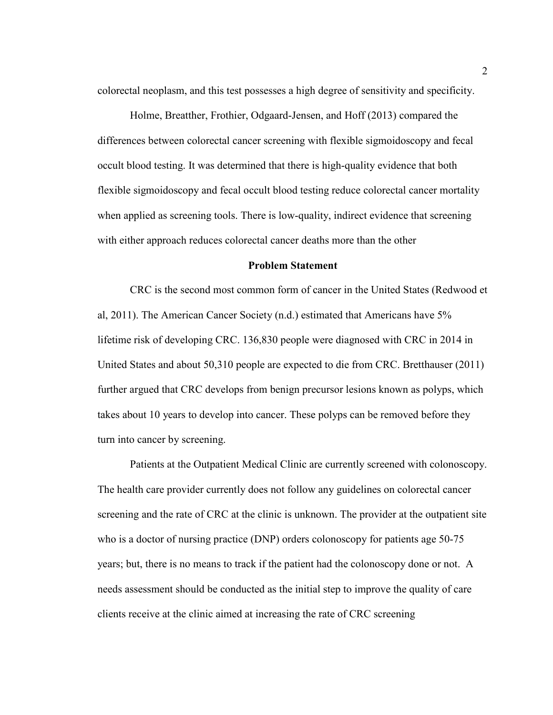colorectal neoplasm, and this test possesses a high degree of sensitivity and specificity.

Holme, Breatther, Frothier, Odgaard-Jensen, and Hoff (2013) compared the differences between colorectal cancer screening with flexible sigmoidoscopy and fecal occult blood testing. It was determined that there is high-quality evidence that both flexible sigmoidoscopy and fecal occult blood testing reduce colorectal cancer mortality when applied as screening tools. There is low-quality, indirect evidence that screening with either approach reduces colorectal cancer deaths more than the other

#### **Problem Statement**

CRC is the second most common form of cancer in the United States (Redwood et al, 2011). The American Cancer Society (n.d.) estimated that Americans have 5% lifetime risk of developing CRC. 136,830 people were diagnosed with CRC in 2014 in United States and about 50,310 people are expected to die from CRC. Bretthauser (2011) further argued that CRC develops from benign precursor lesions known as polyps, which takes about 10 years to develop into cancer. These polyps can be removed before they turn into cancer by screening.

Patients at the Outpatient Medical Clinic are currently screened with colonoscopy. The health care provider currently does not follow any guidelines on colorectal cancer screening and the rate of CRC at the clinic is unknown. The provider at the outpatient site who is a doctor of nursing practice (DNP) orders colonoscopy for patients age 50-75 years; but, there is no means to track if the patient had the colonoscopy done or not. A needs assessment should be conducted as the initial step to improve the quality of care clients receive at the clinic aimed at increasing the rate of CRC screening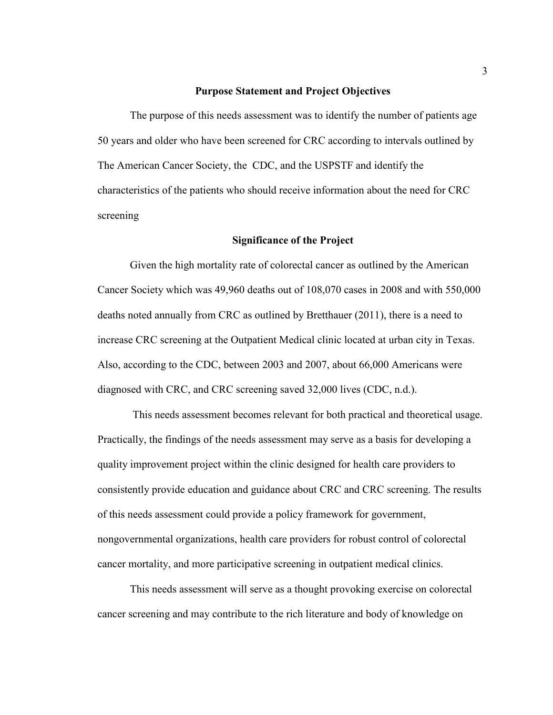#### **Purpose Statement and Project Objectives**

The purpose of this needs assessment was to identify the number of patients age 50 years and older who have been screened for CRC according to intervals outlined by The American Cancer Society, the CDC, and the USPSTF and identify the characteristics of the patients who should receive information about the need for CRC screening

#### **Significance of the Project**

Given the high mortality rate of colorectal cancer as outlined by the American Cancer Society which was 49,960 deaths out of 108,070 cases in 2008 and with 550,000 deaths noted annually from CRC as outlined by Bretthauer (2011), there is a need to increase CRC screening at the Outpatient Medical clinic located at urban city in Texas. Also, according to the CDC, between 2003 and 2007, about 66,000 Americans were diagnosed with CRC, and CRC screening saved 32,000 lives (CDC, n.d.).

 This needs assessment becomes relevant for both practical and theoretical usage. Practically, the findings of the needs assessment may serve as a basis for developing a quality improvement project within the clinic designed for health care providers to consistently provide education and guidance about CRC and CRC screening. The results of this needs assessment could provide a policy framework for government, nongovernmental organizations, health care providers for robust control of colorectal cancer mortality, and more participative screening in outpatient medical clinics.

This needs assessment will serve as a thought provoking exercise on colorectal cancer screening and may contribute to the rich literature and body of knowledge on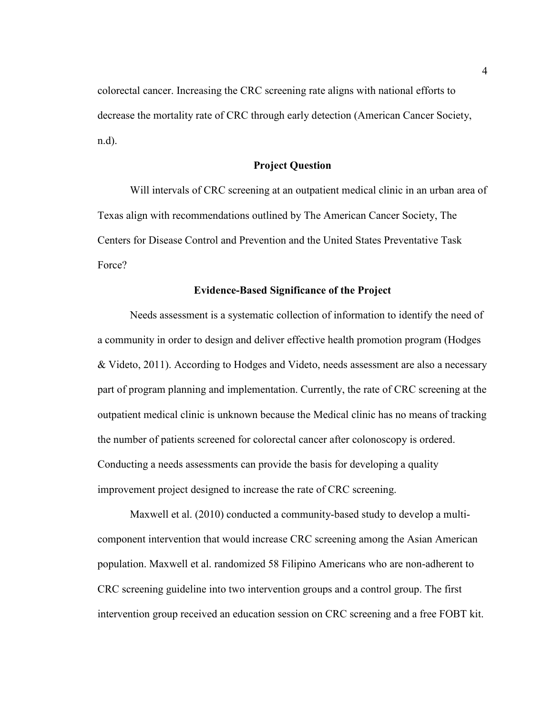colorectal cancer. Increasing the CRC screening rate aligns with national efforts to decrease the mortality rate of CRC through early detection (American Cancer Society, n.d).

#### **Project Question**

Will intervals of CRC screening at an outpatient medical clinic in an urban area of Texas align with recommendations outlined by The American Cancer Society, The Centers for Disease Control and Prevention and the United States Preventative Task Force?

#### **Evidence-Based Significance of the Project**

Needs assessment is a systematic collection of information to identify the need of a community in order to design and deliver effective health promotion program (Hodges & Videto, 2011). According to Hodges and Videto, needs assessment are also a necessary part of program planning and implementation. Currently, the rate of CRC screening at the outpatient medical clinic is unknown because the Medical clinic has no means of tracking the number of patients screened for colorectal cancer after colonoscopy is ordered. Conducting a needs assessments can provide the basis for developing a quality improvement project designed to increase the rate of CRC screening.

Maxwell et al. (2010) conducted a community-based study to develop a multicomponent intervention that would increase CRC screening among the Asian American population. Maxwell et al. randomized 58 Filipino Americans who are non-adherent to CRC screening guideline into two intervention groups and a control group. The first intervention group received an education session on CRC screening and a free FOBT kit.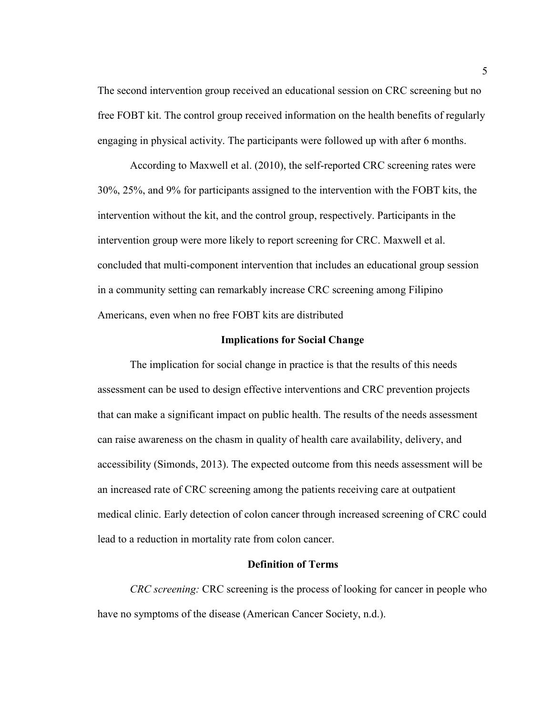The second intervention group received an educational session on CRC screening but no free FOBT kit. The control group received information on the health benefits of regularly engaging in physical activity. The participants were followed up with after 6 months.

According to Maxwell et al. (2010), the self-reported CRC screening rates were 30%, 25%, and 9% for participants assigned to the intervention with the FOBT kits, the intervention without the kit, and the control group, respectively. Participants in the intervention group were more likely to report screening for CRC. Maxwell et al. concluded that multi-component intervention that includes an educational group session in a community setting can remarkably increase CRC screening among Filipino Americans, even when no free FOBT kits are distributed

#### **Implications for Social Change**

The implication for social change in practice is that the results of this needs assessment can be used to design effective interventions and CRC prevention projects that can make a significant impact on public health. The results of the needs assessment can raise awareness on the chasm in quality of health care availability, delivery, and accessibility (Simonds, 2013). The expected outcome from this needs assessment will be an increased rate of CRC screening among the patients receiving care at outpatient medical clinic. Early detection of colon cancer through increased screening of CRC could lead to a reduction in mortality rate from colon cancer.

#### **Definition of Terms**

*CRC screening:* CRC screening is the process of looking for cancer in people who have no symptoms of the disease (American Cancer Society, n.d.).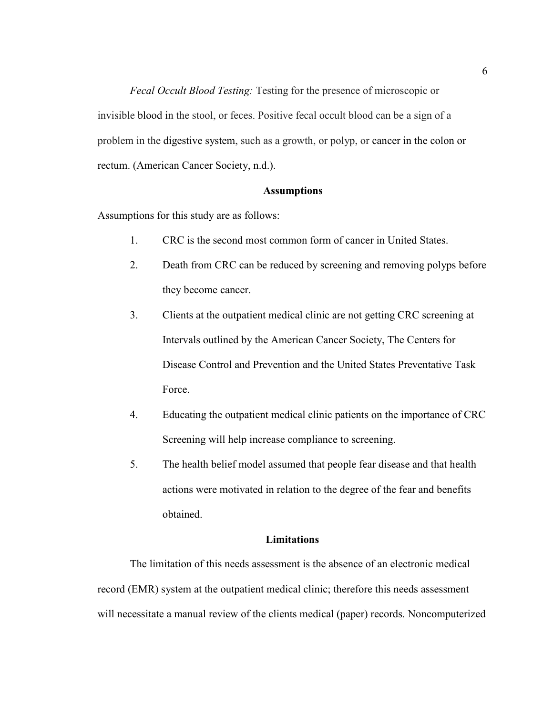*Fecal Occult Blood Testing:* Testing for the presence of microscopic or invisible blood in the stool, or feces. Positive fecal occult blood can be a sign of a problem in the digestive system, such as a growth, or polyp, or cancer in the colon or rectum. (American Cancer Society, n.d.).

#### **Assumptions**

Assumptions for this study are as follows:

- 1. CRC is the second most common form of cancer in United States.
- 2. Death from CRC can be reduced by screening and removing polyps before they become cancer.
- 3. Clients at the outpatient medical clinic are not getting CRC screening at Intervals outlined by the American Cancer Society, The Centers for Disease Control and Prevention and the United States Preventative Task Force.
- 4. Educating the outpatient medical clinic patients on the importance of CRC Screening will help increase compliance to screening.
- 5. The health belief model assumed that people fear disease and that health actions were motivated in relation to the degree of the fear and benefits obtained.

#### **Limitations**

The limitation of this needs assessment is the absence of an electronic medical record (EMR) system at the outpatient medical clinic; therefore this needs assessment will necessitate a manual review of the clients medical (paper) records. Noncomputerized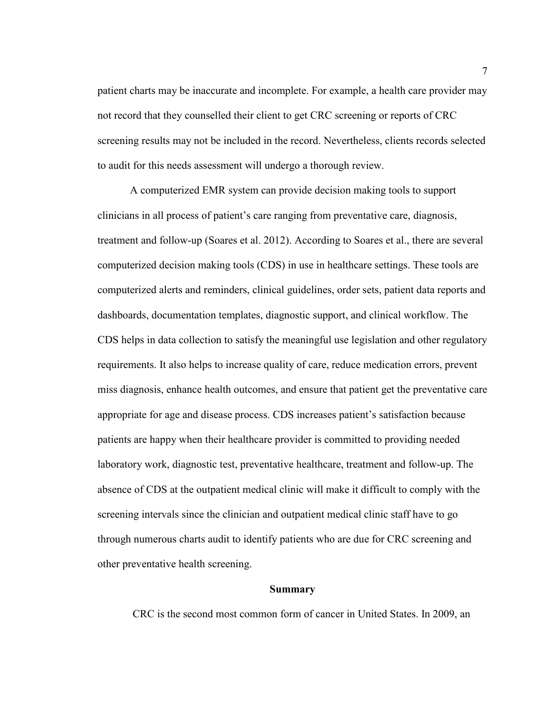patient charts may be inaccurate and incomplete. For example, a health care provider may not record that they counselled their client to get CRC screening or reports of CRC screening results may not be included in the record. Nevertheless, clients records selected to audit for this needs assessment will undergo a thorough review.

A computerized EMR system can provide decision making tools to support clinicians in all process of patient's care ranging from preventative care, diagnosis, treatment and follow-up (Soares et al. 2012). According to Soares et al., there are several computerized decision making tools (CDS) in use in healthcare settings. These tools are computerized alerts and reminders, clinical guidelines, order sets, patient data reports and dashboards, documentation templates, diagnostic support, and clinical workflow. The CDS helps in data collection to satisfy the meaningful use legislation and other regulatory requirements. It also helps to increase quality of care, reduce medication errors, prevent miss diagnosis, enhance health outcomes, and ensure that patient get the preventative care appropriate for age and disease process. CDS increases patient's satisfaction because patients are happy when their healthcare provider is committed to providing needed laboratory work, diagnostic test, preventative healthcare, treatment and follow-up. The absence of CDS at the outpatient medical clinic will make it difficult to comply with the screening intervals since the clinician and outpatient medical clinic staff have to go through numerous charts audit to identify patients who are due for CRC screening and other preventative health screening.

#### **Summary**

CRC is the second most common form of cancer in United States. In 2009, an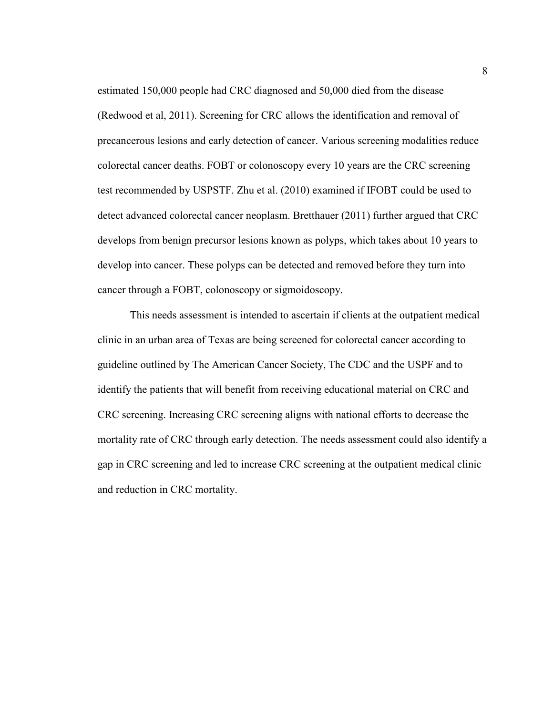estimated 150,000 people had CRC diagnosed and 50,000 died from the disease (Redwood et al, 2011). Screening for CRC allows the identification and removal of precancerous lesions and early detection of cancer. Various screening modalities reduce colorectal cancer deaths. FOBT or colonoscopy every 10 years are the CRC screening test recommended by USPSTF. Zhu et al. (2010) examined if IFOBT could be used to detect advanced colorectal cancer neoplasm. Bretthauer (2011) further argued that CRC develops from benign precursor lesions known as polyps, which takes about 10 years to develop into cancer. These polyps can be detected and removed before they turn into cancer through a FOBT, colonoscopy or sigmoidoscopy.

This needs assessment is intended to ascertain if clients at the outpatient medical clinic in an urban area of Texas are being screened for colorectal cancer according to guideline outlined by The American Cancer Society, The CDC and the USPF and to identify the patients that will benefit from receiving educational material on CRC and CRC screening. Increasing CRC screening aligns with national efforts to decrease the mortality rate of CRC through early detection. The needs assessment could also identify a gap in CRC screening and led to increase CRC screening at the outpatient medical clinic and reduction in CRC mortality.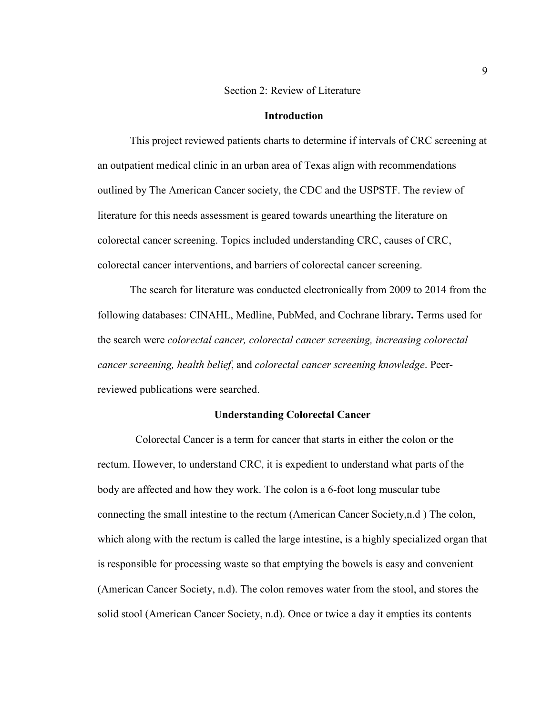#### Section 2: Review of Literature

#### **Introduction**

 This project reviewed patients charts to determine if intervals of CRC screening at an outpatient medical clinic in an urban area of Texas align with recommendations outlined by The American Cancer society, the CDC and the USPSTF. The review of literature for this needs assessment is geared towards unearthing the literature on colorectal cancer screening. Topics included understanding CRC, causes of CRC, colorectal cancer interventions, and barriers of colorectal cancer screening.

The search for literature was conducted electronically from 2009 to 2014 from the following databases: CINAHL, Medline, PubMed, and Cochrane library**.** Terms used for the search were *colorectal cancer, colorectal cancer screening, increasing colorectal cancer screening, health belief*, and *colorectal cancer screening knowledge*. Peerreviewed publications were searched.

#### **Understanding Colorectal Cancer**

 Colorectal Cancer is a term for cancer that starts in either the colon or the rectum. However, to understand CRC, it is expedient to understand what parts of the body are affected and how they work. The colon is a 6-foot long muscular tube connecting the small intestine to the rectum (American Cancer Society,n.d ) The colon, which along with the rectum is called the large intestine, is a highly specialized organ that is responsible for processing waste so that emptying the bowels is easy and convenient (American Cancer Society, n.d). The colon removes water from the stool, and stores the solid stool (American Cancer Society, n.d). Once or twice a day it empties its contents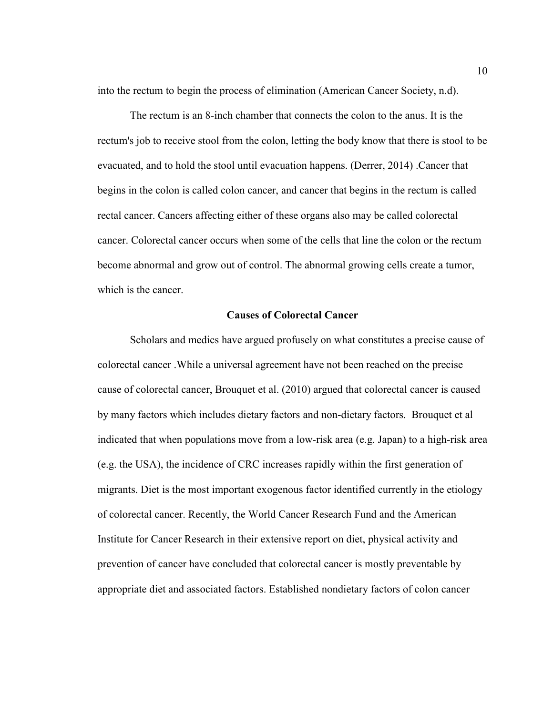into the rectum to begin the process of elimination (American Cancer Society, n.d).

The rectum is an 8-inch chamber that connects the colon to the anus. It is the rectum's job to receive stool from the colon, letting the body know that there is stool to be evacuated, and to hold the stool until evacuation happens. (Derrer, 2014) .Cancer that begins in the colon is called colon cancer, and cancer that begins in the rectum is called rectal cancer. Cancers affecting either of these organs also may be called colorectal cancer. Colorectal cancer occurs when some of the cells that line the colon or the rectum become abnormal and grow out of control. The abnormal growing cells create a tumor, which is the cancer.

#### **Causes of Colorectal Cancer**

 Scholars and medics have argued profusely on what constitutes a precise cause of colorectal cancer .While a universal agreement have not been reached on the precise cause of colorectal cancer, Brouquet et al. (2010) argued that colorectal cancer is caused by many factors which includes dietary factors and non-dietary factors. Brouquet et al indicated that when populations move from a low-risk area (e.g. Japan) to a high-risk area (e.g. the USA), the incidence of CRC increases rapidly within the first generation of migrants. Diet is the most important exogenous factor identified currently in the etiology of colorectal cancer. Recently, the World Cancer Research Fund and the American Institute for Cancer Research in their extensive report on diet, physical activity and prevention of cancer have concluded that colorectal cancer is mostly preventable by appropriate diet and associated factors. Established nondietary factors of colon cancer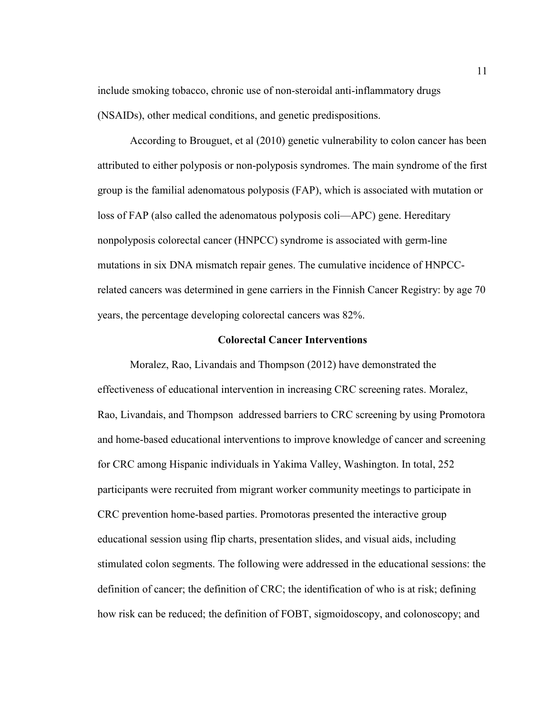include smoking tobacco, chronic use of non-steroidal anti-inflammatory drugs (NSAIDs), other medical conditions, and genetic predispositions.

According to Brouguet, et al (2010) genetic vulnerability to colon cancer has been attributed to either polyposis or non-polyposis syndromes. The main syndrome of the first group is the familial adenomatous polyposis (FAP), which is associated with mutation or loss of FAP (also called the adenomatous polyposis coli—APC) gene. Hereditary nonpolyposis colorectal cancer (HNPCC) syndrome is associated with germ-line mutations in six DNA mismatch repair genes. The cumulative incidence of HNPCCrelated cancers was determined in gene carriers in the Finnish Cancer Registry: by age 70 years, the percentage developing colorectal cancers was 82%.

#### **Colorectal Cancer Interventions**

Moralez, Rao, Livandais and Thompson (2012) have demonstrated the effectiveness of educational intervention in increasing CRC screening rates. Moralez, Rao, Livandais, and Thompson addressed barriers to CRC screening by using Promotora and home-based educational interventions to improve knowledge of cancer and screening for CRC among Hispanic individuals in Yakima Valley, Washington. In total, 252 participants were recruited from migrant worker community meetings to participate in CRC prevention home-based parties. Promotoras presented the interactive group educational session using flip charts, presentation slides, and visual aids, including stimulated colon segments. The following were addressed in the educational sessions: the definition of cancer; the definition of CRC; the identification of who is at risk; defining how risk can be reduced; the definition of FOBT, sigmoidoscopy, and colonoscopy; and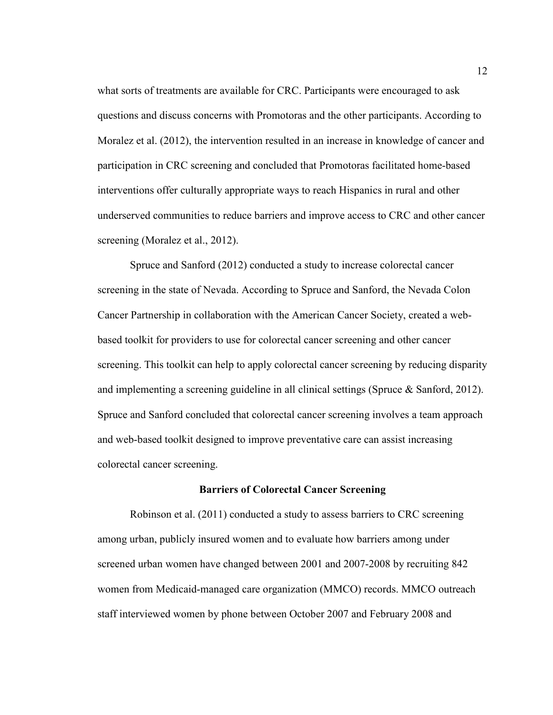what sorts of treatments are available for CRC. Participants were encouraged to ask questions and discuss concerns with Promotoras and the other participants. According to Moralez et al. (2012), the intervention resulted in an increase in knowledge of cancer and participation in CRC screening and concluded that Promotoras facilitated home-based interventions offer culturally appropriate ways to reach Hispanics in rural and other underserved communities to reduce barriers and improve access to CRC and other cancer screening (Moralez et al., 2012).

Spruce and Sanford (2012) conducted a study to increase colorectal cancer screening in the state of Nevada. According to Spruce and Sanford, the Nevada Colon Cancer Partnership in collaboration with the American Cancer Society, created a webbased toolkit for providers to use for colorectal cancer screening and other cancer screening. This toolkit can help to apply colorectal cancer screening by reducing disparity and implementing a screening guideline in all clinical settings (Spruce & Sanford, 2012). Spruce and Sanford concluded that colorectal cancer screening involves a team approach and web-based toolkit designed to improve preventative care can assist increasing colorectal cancer screening.

#### **Barriers of Colorectal Cancer Screening**

Robinson et al. (2011) conducted a study to assess barriers to CRC screening among urban, publicly insured women and to evaluate how barriers among under screened urban women have changed between 2001 and 2007-2008 by recruiting 842 women from Medicaid-managed care organization (MMCO) records. MMCO outreach staff interviewed women by phone between October 2007 and February 2008 and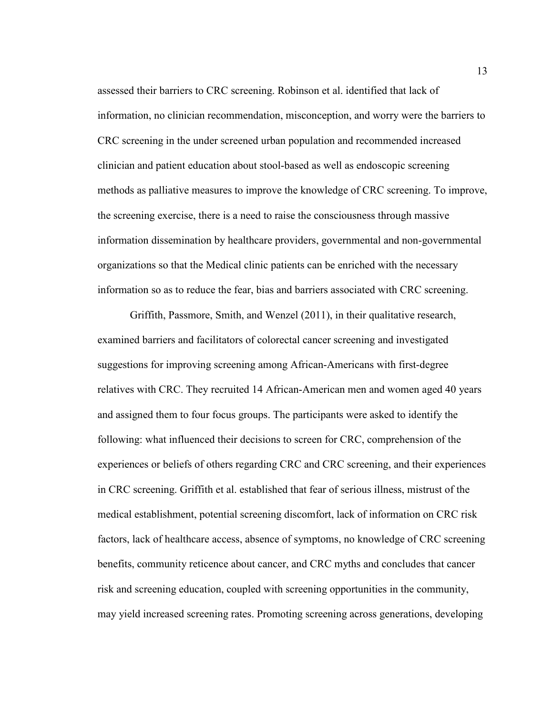assessed their barriers to CRC screening. Robinson et al. identified that lack of information, no clinician recommendation, misconception, and worry were the barriers to CRC screening in the under screened urban population and recommended increased clinician and patient education about stool-based as well as endoscopic screening methods as palliative measures to improve the knowledge of CRC screening. To improve, the screening exercise, there is a need to raise the consciousness through massive information dissemination by healthcare providers, governmental and non-governmental organizations so that the Medical clinic patients can be enriched with the necessary information so as to reduce the fear, bias and barriers associated with CRC screening.

Griffith, Passmore, Smith, and Wenzel (2011), in their qualitative research, examined barriers and facilitators of colorectal cancer screening and investigated suggestions for improving screening among African-Americans with first-degree relatives with CRC. They recruited 14 African-American men and women aged 40 years and assigned them to four focus groups. The participants were asked to identify the following: what influenced their decisions to screen for CRC, comprehension of the experiences or beliefs of others regarding CRC and CRC screening, and their experiences in CRC screening. Griffith et al. established that fear of serious illness, mistrust of the medical establishment, potential screening discomfort, lack of information on CRC risk factors, lack of healthcare access, absence of symptoms, no knowledge of CRC screening benefits, community reticence about cancer, and CRC myths and concludes that cancer risk and screening education, coupled with screening opportunities in the community, may yield increased screening rates. Promoting screening across generations, developing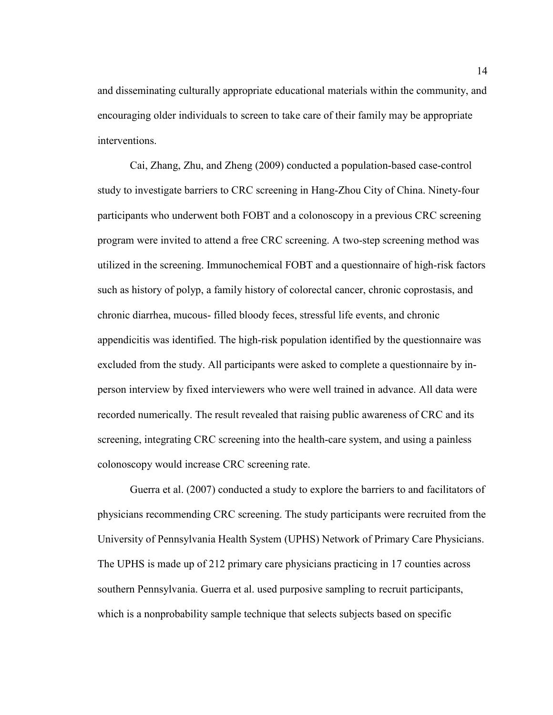and disseminating culturally appropriate educational materials within the community, and encouraging older individuals to screen to take care of their family may be appropriate interventions.

Cai, Zhang, Zhu, and Zheng (2009) conducted a population-based case-control study to investigate barriers to CRC screening in Hang-Zhou City of China. Ninety-four participants who underwent both FOBT and a colonoscopy in a previous CRC screening program were invited to attend a free CRC screening. A two-step screening method was utilized in the screening. Immunochemical FOBT and a questionnaire of high-risk factors such as history of polyp, a family history of colorectal cancer, chronic coprostasis, and chronic diarrhea, mucous- filled bloody feces, stressful life events, and chronic appendicitis was identified. The high-risk population identified by the questionnaire was excluded from the study. All participants were asked to complete a questionnaire by inperson interview by fixed interviewers who were well trained in advance. All data were recorded numerically. The result revealed that raising public awareness of CRC and its screening, integrating CRC screening into the health-care system, and using a painless colonoscopy would increase CRC screening rate.

Guerra et al. (2007) conducted a study to explore the barriers to and facilitators of physicians recommending CRC screening. The study participants were recruited from the University of Pennsylvania Health System (UPHS) Network of Primary Care Physicians. The UPHS is made up of 212 primary care physicians practicing in 17 counties across southern Pennsylvania. Guerra et al. used purposive sampling to recruit participants, which is a nonprobability sample technique that selects subjects based on specific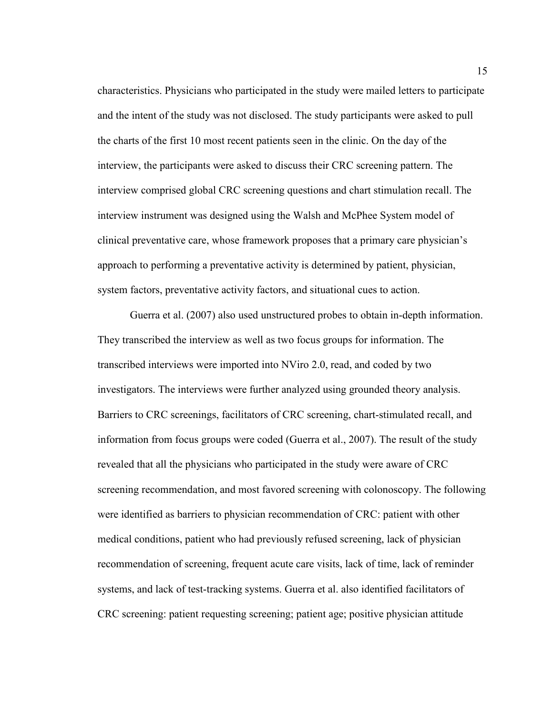characteristics. Physicians who participated in the study were mailed letters to participate and the intent of the study was not disclosed. The study participants were asked to pull the charts of the first 10 most recent patients seen in the clinic. On the day of the interview, the participants were asked to discuss their CRC screening pattern. The interview comprised global CRC screening questions and chart stimulation recall. The interview instrument was designed using the Walsh and McPhee System model of clinical preventative care, whose framework proposes that a primary care physician's approach to performing a preventative activity is determined by patient, physician, system factors, preventative activity factors, and situational cues to action.

Guerra et al. (2007) also used unstructured probes to obtain in-depth information. They transcribed the interview as well as two focus groups for information. The transcribed interviews were imported into NViro 2.0, read, and coded by two investigators. The interviews were further analyzed using grounded theory analysis. Barriers to CRC screenings, facilitators of CRC screening, chart-stimulated recall, and information from focus groups were coded (Guerra et al., 2007). The result of the study revealed that all the physicians who participated in the study were aware of CRC screening recommendation, and most favored screening with colonoscopy. The following were identified as barriers to physician recommendation of CRC: patient with other medical conditions, patient who had previously refused screening, lack of physician recommendation of screening, frequent acute care visits, lack of time, lack of reminder systems, and lack of test-tracking systems. Guerra et al. also identified facilitators of CRC screening: patient requesting screening; patient age; positive physician attitude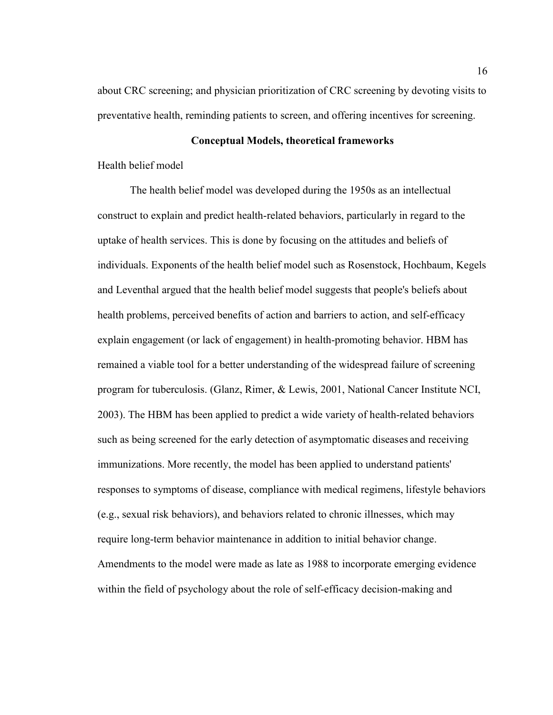about CRC screening; and physician prioritization of CRC screening by devoting visits to preventative health, reminding patients to screen, and offering incentives for screening.

#### **Conceptual Models, theoretical frameworks**

Health belief model

 The health belief model was developed during the 1950s as an intellectual construct to explain and predict health-related behaviors, particularly in regard to the uptake of health services. This is done by focusing on the attitudes and beliefs of individuals. Exponents of the health belief model such as Rosenstock, Hochbaum, Kegels and Leventhal argued that the health belief model suggests that people's beliefs about health problems, perceived benefits of action and barriers to action, and self-efficacy explain engagement (or lack of engagement) in health-promoting behavior. HBM has remained a viable tool for a better understanding of the widespread failure of screening program for tuberculosis. (Glanz, Rimer, & Lewis, 2001, National Cancer Institute NCI, 2003). The HBM has been applied to predict a wide variety of health-related behaviors such as being screened for the early detection of asymptomatic diseases and receiving immunizations. More recently, the model has been applied to understand patients' responses to symptoms of disease, compliance with medical regimens, lifestyle behaviors (e.g., sexual risk behaviors), and behaviors related to chronic illnesses, which may require long-term behavior maintenance in addition to initial behavior change. Amendments to the model were made as late as 1988 to incorporate emerging evidence within the field of psychology about the role of self-efficacy decision-making and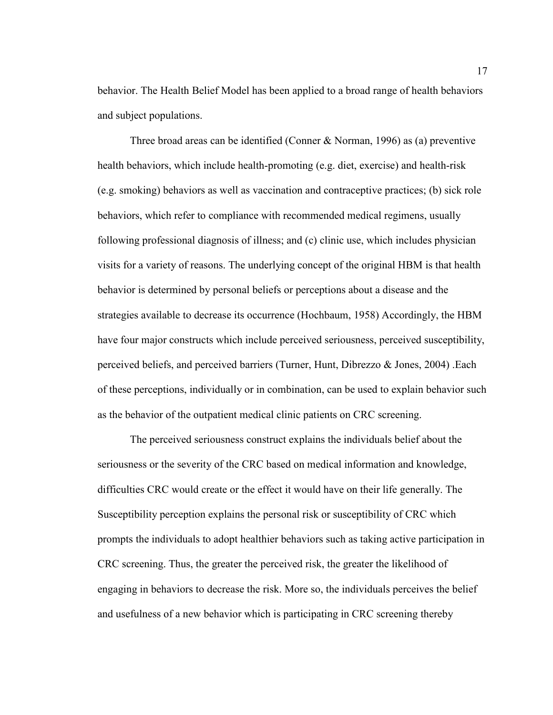behavior. The Health Belief Model has been applied to a broad range of health behaviors and subject populations.

Three broad areas can be identified (Conner & Norman, 1996) as (a) preventive health behaviors, which include health-promoting (e.g. diet, exercise) and health-risk (e.g. smoking) behaviors as well as vaccination and contraceptive practices; (b) sick role behaviors, which refer to compliance with recommended medical regimens, usually following professional diagnosis of illness; and (c) clinic use, which includes physician visits for a variety of reasons. The underlying concept of the original HBM is that health behavior is determined by personal beliefs or perceptions about a disease and the strategies available to decrease its occurrence (Hochbaum, 1958) Accordingly, the HBM have four major constructs which include perceived seriousness, perceived susceptibility, perceived beliefs, and perceived barriers (Turner, Hunt, Dibrezzo & Jones, 2004) .Each of these perceptions, individually or in combination, can be used to explain behavior such as the behavior of the outpatient medical clinic patients on CRC screening.

 The perceived seriousness construct explains the individuals belief about the seriousness or the severity of the CRC based on medical information and knowledge, difficulties CRC would create or the effect it would have on their life generally. The Susceptibility perception explains the personal risk or susceptibility of CRC which prompts the individuals to adopt healthier behaviors such as taking active participation in CRC screening. Thus, the greater the perceived risk, the greater the likelihood of engaging in behaviors to decrease the risk. More so, the individuals perceives the belief and usefulness of a new behavior which is participating in CRC screening thereby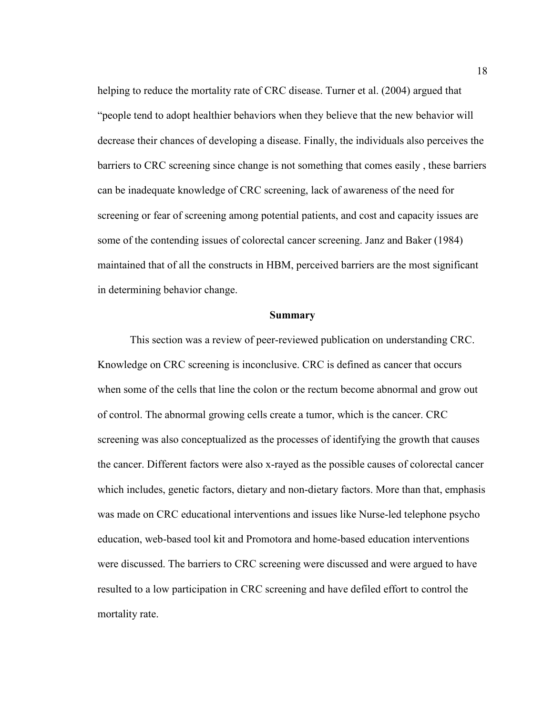helping to reduce the mortality rate of CRC disease. Turner et al. (2004) argued that "people tend to adopt healthier behaviors when they believe that the new behavior will decrease their chances of developing a disease. Finally, the individuals also perceives the barriers to CRC screening since change is not something that comes easily , these barriers can be inadequate knowledge of CRC screening, lack of awareness of the need for screening or fear of screening among potential patients, and cost and capacity issues are some of the contending issues of colorectal cancer screening. Janz and Baker (1984) maintained that of all the constructs in HBM, perceived barriers are the most significant in determining behavior change.

#### **Summary**

This section was a review of peer-reviewed publication on understanding CRC. Knowledge on CRC screening is inconclusive. CRC is defined as cancer that occurs when some of the cells that line the colon or the rectum become abnormal and grow out of control. The abnormal growing cells create a tumor, which is the cancer. CRC screening was also conceptualized as the processes of identifying the growth that causes the cancer. Different factors were also x-rayed as the possible causes of colorectal cancer which includes, genetic factors, dietary and non-dietary factors. More than that, emphasis was made on CRC educational interventions and issues like Nurse-led telephone psycho education, web-based tool kit and Promotora and home-based education interventions were discussed. The barriers to CRC screening were discussed and were argued to have resulted to a low participation in CRC screening and have defiled effort to control the mortality rate.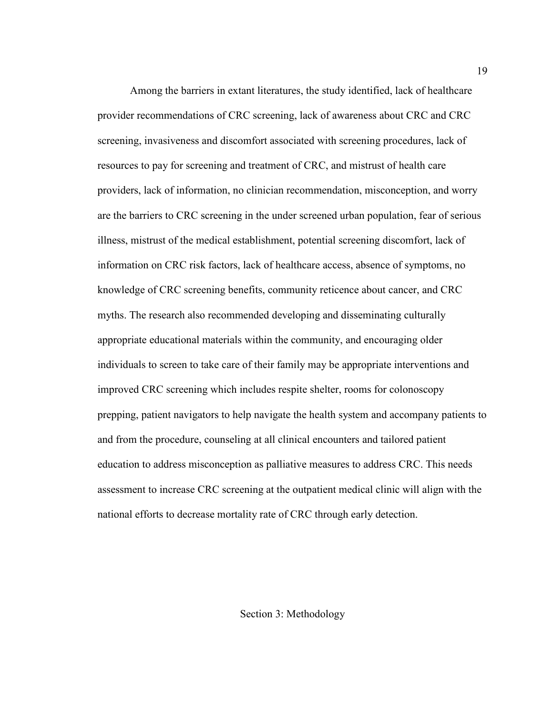Among the barriers in extant literatures, the study identified, lack of healthcare provider recommendations of CRC screening, lack of awareness about CRC and CRC screening, invasiveness and discomfort associated with screening procedures, lack of resources to pay for screening and treatment of CRC, and mistrust of health care providers, lack of information, no clinician recommendation, misconception, and worry are the barriers to CRC screening in the under screened urban population, fear of serious illness, mistrust of the medical establishment, potential screening discomfort, lack of information on CRC risk factors, lack of healthcare access, absence of symptoms, no knowledge of CRC screening benefits, community reticence about cancer, and CRC myths. The research also recommended developing and disseminating culturally appropriate educational materials within the community, and encouraging older individuals to screen to take care of their family may be appropriate interventions and improved CRC screening which includes respite shelter, rooms for colonoscopy prepping, patient navigators to help navigate the health system and accompany patients to and from the procedure, counseling at all clinical encounters and tailored patient education to address misconception as palliative measures to address CRC. This needs assessment to increase CRC screening at the outpatient medical clinic will align with the national efforts to decrease mortality rate of CRC through early detection.

Section 3: Methodology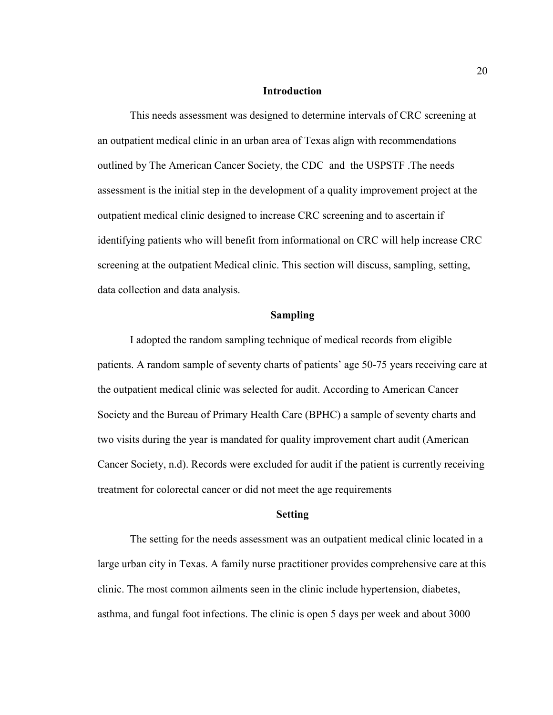#### **Introduction**

This needs assessment was designed to determine intervals of CRC screening at an outpatient medical clinic in an urban area of Texas align with recommendations outlined by The American Cancer Society, the CDC and the USPSTF .The needs assessment is the initial step in the development of a quality improvement project at the outpatient medical clinic designed to increase CRC screening and to ascertain if identifying patients who will benefit from informational on CRC will help increase CRC screening at the outpatient Medical clinic. This section will discuss, sampling, setting, data collection and data analysis.

#### **Sampling**

I adopted the random sampling technique of medical records from eligible patients. A random sample of seventy charts of patients' age 50-75 years receiving care at the outpatient medical clinic was selected for audit. According to American Cancer Society and the Bureau of Primary Health Care (BPHC) a sample of seventy charts and two visits during the year is mandated for quality improvement chart audit (American Cancer Society, n.d). Records were excluded for audit if the patient is currently receiving treatment for colorectal cancer or did not meet the age requirements

#### **Setting**

The setting for the needs assessment was an outpatient medical clinic located in a large urban city in Texas. A family nurse practitioner provides comprehensive care at this clinic. The most common ailments seen in the clinic include hypertension, diabetes, asthma, and fungal foot infections. The clinic is open 5 days per week and about 3000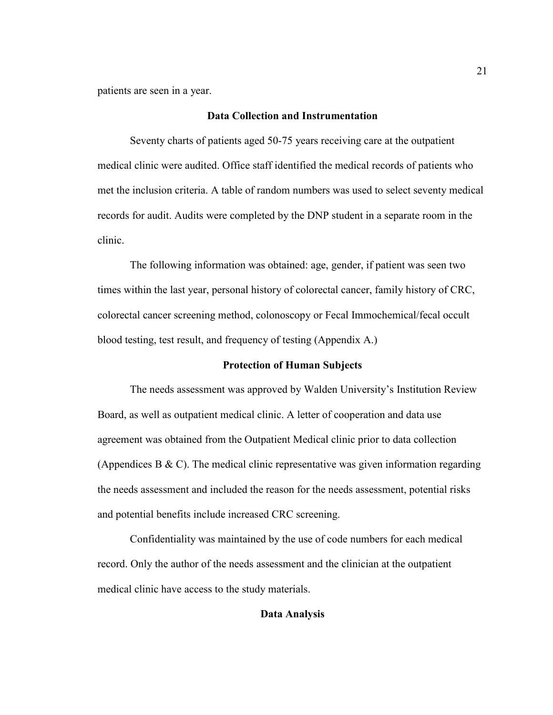patients are seen in a year.

#### **Data Collection and Instrumentation**

Seventy charts of patients aged 50-75 years receiving care at the outpatient medical clinic were audited. Office staff identified the medical records of patients who met the inclusion criteria. A table of random numbers was used to select seventy medical records for audit. Audits were completed by the DNP student in a separate room in the clinic.

The following information was obtained: age, gender, if patient was seen two times within the last year, personal history of colorectal cancer, family history of CRC, colorectal cancer screening method, colonoscopy or Fecal Immochemical/fecal occult blood testing, test result, and frequency of testing (Appendix A.)

#### **Protection of Human Subjects**

The needs assessment was approved by Walden University's Institution Review Board, as well as outpatient medical clinic. A letter of cooperation and data use agreement was obtained from the Outpatient Medical clinic prior to data collection (Appendices B  $\&$  C). The medical clinic representative was given information regarding the needs assessment and included the reason for the needs assessment, potential risks and potential benefits include increased CRC screening.

Confidentiality was maintained by the use of code numbers for each medical record. Only the author of the needs assessment and the clinician at the outpatient medical clinic have access to the study materials.

#### **Data Analysis**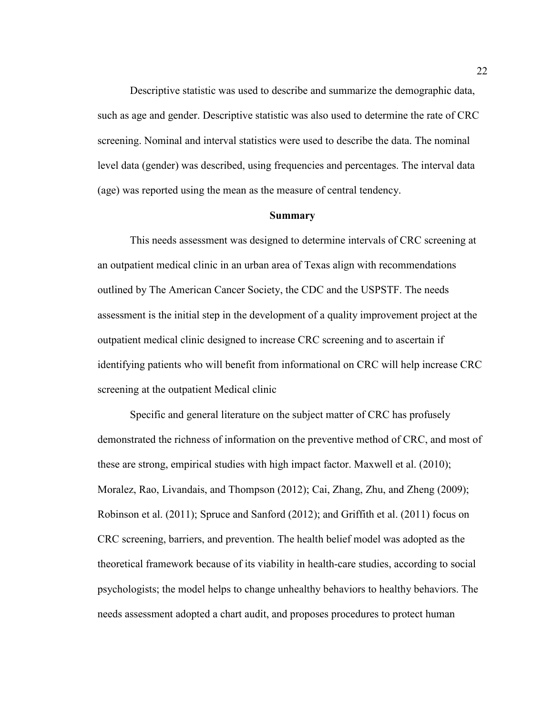Descriptive statistic was used to describe and summarize the demographic data, such as age and gender. Descriptive statistic was also used to determine the rate of CRC screening. Nominal and interval statistics were used to describe the data. The nominal level data (gender) was described, using frequencies and percentages. The interval data (age) was reported using the mean as the measure of central tendency.

#### **Summary**

This needs assessment was designed to determine intervals of CRC screening at an outpatient medical clinic in an urban area of Texas align with recommendations outlined by The American Cancer Society, the CDC and the USPSTF. The needs assessment is the initial step in the development of a quality improvement project at the outpatient medical clinic designed to increase CRC screening and to ascertain if identifying patients who will benefit from informational on CRC will help increase CRC screening at the outpatient Medical clinic

Specific and general literature on the subject matter of CRC has profusely demonstrated the richness of information on the preventive method of CRC, and most of these are strong, empirical studies with high impact factor. Maxwell et al. (2010); Moralez, Rao, Livandais, and Thompson (2012); Cai, Zhang, Zhu, and Zheng (2009); Robinson et al. (2011); Spruce and Sanford (2012); and Griffith et al. (2011) focus on CRC screening, barriers, and prevention. The health belief model was adopted as the theoretical framework because of its viability in health-care studies, according to social psychologists; the model helps to change unhealthy behaviors to healthy behaviors. The needs assessment adopted a chart audit, and proposes procedures to protect human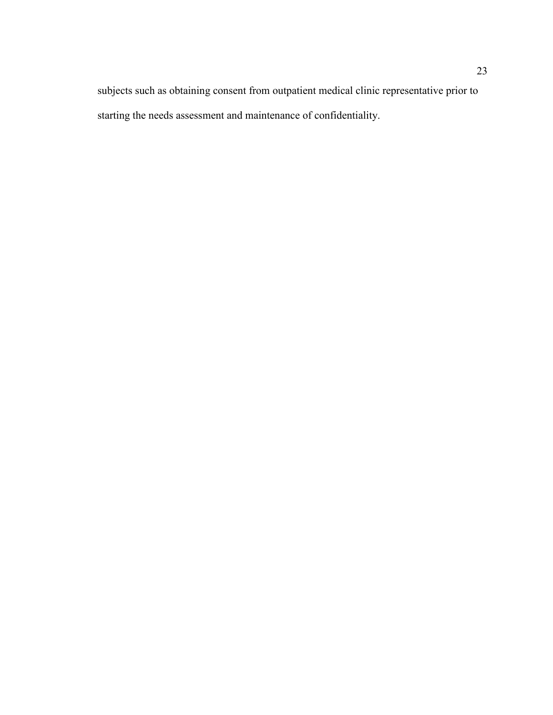subjects such as obtaining consent from outpatient medical clinic representative prior to starting the needs assessment and maintenance of confidentiality.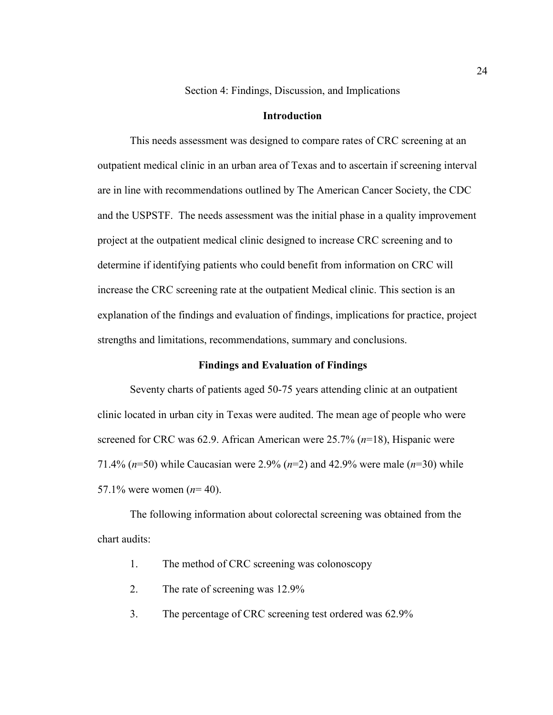Section 4: Findings, Discussion, and Implications

#### **Introduction**

This needs assessment was designed to compare rates of CRC screening at an outpatient medical clinic in an urban area of Texas and to ascertain if screening interval are in line with recommendations outlined by The American Cancer Society, the CDC and the USPSTF. The needs assessment was the initial phase in a quality improvement project at the outpatient medical clinic designed to increase CRC screening and to determine if identifying patients who could benefit from information on CRC will increase the CRC screening rate at the outpatient Medical clinic. This section is an explanation of the findings and evaluation of findings, implications for practice, project strengths and limitations, recommendations, summary and conclusions.

#### **Findings and Evaluation of Findings**

Seventy charts of patients aged 50-75 years attending clinic at an outpatient clinic located in urban city in Texas were audited. The mean age of people who were screened for CRC was 62.9. African American were 25.7% (*n*=18), Hispanic were 71.4% (*n*=50) while Caucasian were 2.9% (*n*=2) and 42.9% were male (*n*=30) while 57.1% were women (*n*= 40).

The following information about colorectal screening was obtained from the chart audits:

- 1. The method of CRC screening was colonoscopy
- 2. The rate of screening was 12.9%
- 3. The percentage of CRC screening test ordered was 62.9%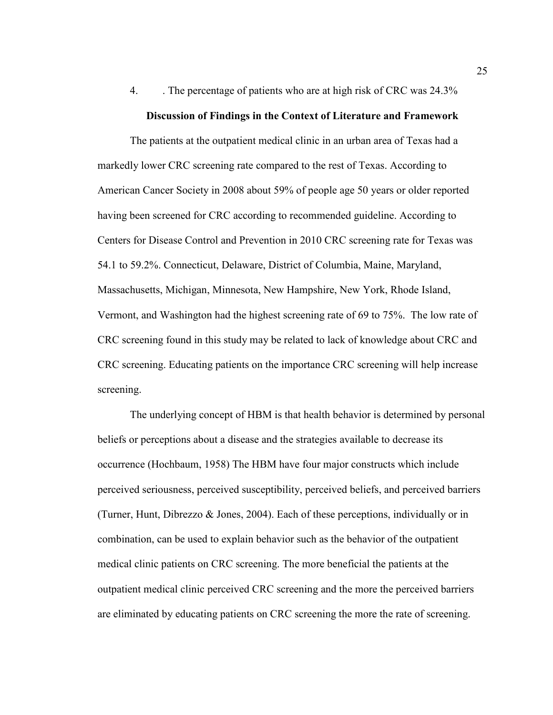4. . The percentage of patients who are at high risk of CRC was 24.3%

#### **Discussion of Findings in the Context of Literature and Framework**

The patients at the outpatient medical clinic in an urban area of Texas had a markedly lower CRC screening rate compared to the rest of Texas. According to American Cancer Society in 2008 about 59% of people age 50 years or older reported having been screened for CRC according to recommended guideline. According to Centers for Disease Control and Prevention in 2010 CRC screening rate for Texas was 54.1 to 59.2%. Connecticut, Delaware, District of Columbia, Maine, Maryland, Massachusetts, Michigan, Minnesota, New Hampshire, New York, Rhode Island, Vermont, and Washington had the highest screening rate of 69 to 75%. The low rate of CRC screening found in this study may be related to lack of knowledge about CRC and CRC screening. Educating patients on the importance CRC screening will help increase screening.

The underlying concept of HBM is that health behavior is determined by personal beliefs or perceptions about a disease and the strategies available to decrease its occurrence (Hochbaum, 1958) The HBM have four major constructs which include perceived seriousness, perceived susceptibility, perceived beliefs, and perceived barriers (Turner, Hunt, Dibrezzo & Jones, 2004). Each of these perceptions, individually or in combination, can be used to explain behavior such as the behavior of the outpatient medical clinic patients on CRC screening. The more beneficial the patients at the outpatient medical clinic perceived CRC screening and the more the perceived barriers are eliminated by educating patients on CRC screening the more the rate of screening.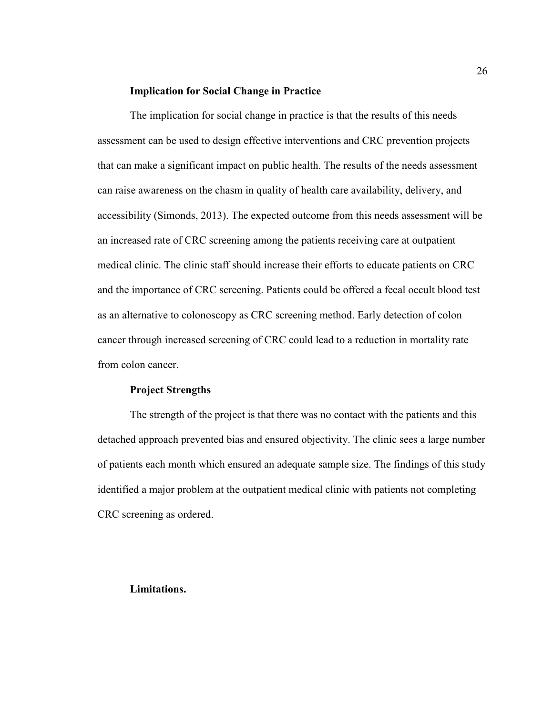#### **Implication for Social Change in Practice**

The implication for social change in practice is that the results of this needs assessment can be used to design effective interventions and CRC prevention projects that can make a significant impact on public health. The results of the needs assessment can raise awareness on the chasm in quality of health care availability, delivery, and accessibility (Simonds, 2013). The expected outcome from this needs assessment will be an increased rate of CRC screening among the patients receiving care at outpatient medical clinic. The clinic staff should increase their efforts to educate patients on CRC and the importance of CRC screening. Patients could be offered a fecal occult blood test as an alternative to colonoscopy as CRC screening method. Early detection of colon cancer through increased screening of CRC could lead to a reduction in mortality rate from colon cancer.

#### **Project Strengths**

The strength of the project is that there was no contact with the patients and this detached approach prevented bias and ensured objectivity. The clinic sees a large number of patients each month which ensured an adequate sample size. The findings of this study identified a major problem at the outpatient medical clinic with patients not completing CRC screening as ordered.

#### **Limitations.**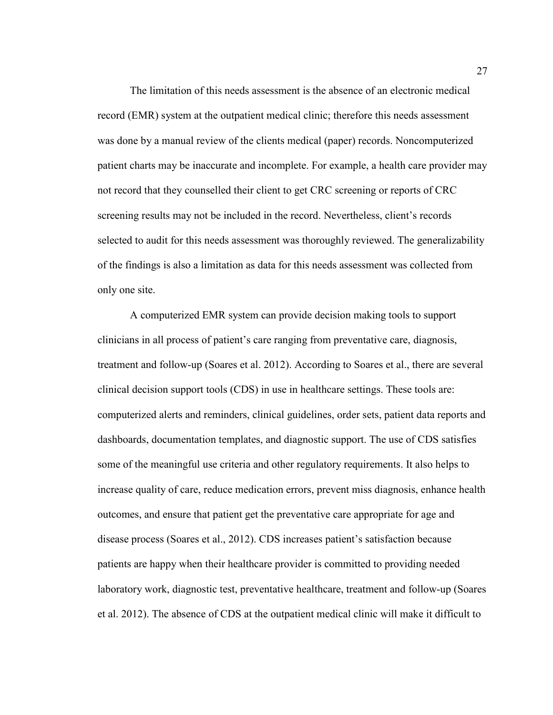The limitation of this needs assessment is the absence of an electronic medical record (EMR) system at the outpatient medical clinic; therefore this needs assessment was done by a manual review of the clients medical (paper) records. Noncomputerized patient charts may be inaccurate and incomplete. For example, a health care provider may not record that they counselled their client to get CRC screening or reports of CRC screening results may not be included in the record. Nevertheless, client's records selected to audit for this needs assessment was thoroughly reviewed. The generalizability of the findings is also a limitation as data for this needs assessment was collected from only one site.

A computerized EMR system can provide decision making tools to support clinicians in all process of patient's care ranging from preventative care, diagnosis, treatment and follow-up (Soares et al. 2012). According to Soares et al., there are several clinical decision support tools (CDS) in use in healthcare settings. These tools are: computerized alerts and reminders, clinical guidelines, order sets, patient data reports and dashboards, documentation templates, and diagnostic support. The use of CDS satisfies some of the meaningful use criteria and other regulatory requirements. It also helps to increase quality of care, reduce medication errors, prevent miss diagnosis, enhance health outcomes, and ensure that patient get the preventative care appropriate for age and disease process (Soares et al., 2012). CDS increases patient's satisfaction because patients are happy when their healthcare provider is committed to providing needed laboratory work, diagnostic test, preventative healthcare, treatment and follow-up (Soares et al. 2012). The absence of CDS at the outpatient medical clinic will make it difficult to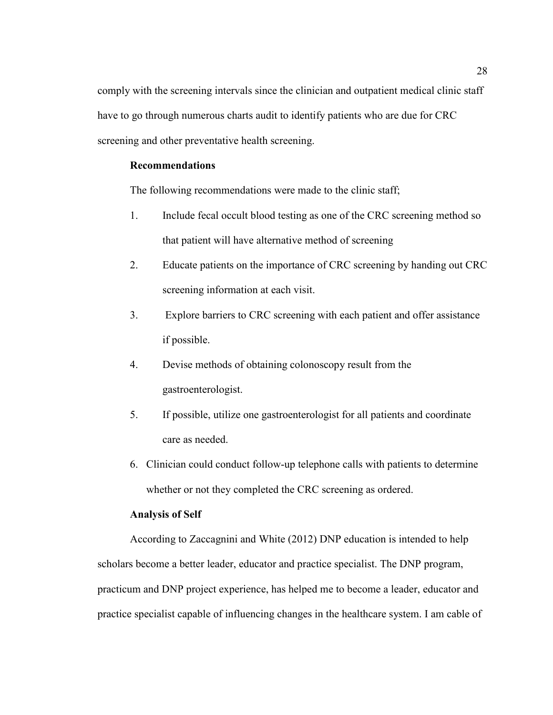comply with the screening intervals since the clinician and outpatient medical clinic staff have to go through numerous charts audit to identify patients who are due for CRC screening and other preventative health screening.

### **Recommendations**

The following recommendations were made to the clinic staff;

- 1. Include fecal occult blood testing as one of the CRC screening method so that patient will have alternative method of screening
- 2. Educate patients on the importance of CRC screening by handing out CRC screening information at each visit.
- 3. Explore barriers to CRC screening with each patient and offer assistance if possible.
- 4. Devise methods of obtaining colonoscopy result from the gastroenterologist.
- 5. If possible, utilize one gastroenterologist for all patients and coordinate care as needed.
- 6. Clinician could conduct follow-up telephone calls with patients to determine whether or not they completed the CRC screening as ordered.

#### **Analysis of Self**

According to Zaccagnini and White (2012) DNP education is intended to help scholars become a better leader, educator and practice specialist. The DNP program, practicum and DNP project experience, has helped me to become a leader, educator and practice specialist capable of influencing changes in the healthcare system. I am cable of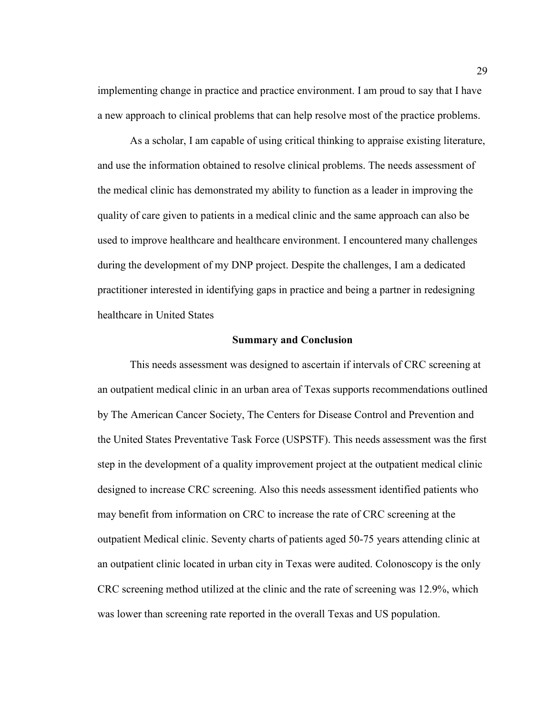implementing change in practice and practice environment. I am proud to say that I have a new approach to clinical problems that can help resolve most of the practice problems.

As a scholar, I am capable of using critical thinking to appraise existing literature, and use the information obtained to resolve clinical problems. The needs assessment of the medical clinic has demonstrated my ability to function as a leader in improving the quality of care given to patients in a medical clinic and the same approach can also be used to improve healthcare and healthcare environment. I encountered many challenges during the development of my DNP project. Despite the challenges, I am a dedicated practitioner interested in identifying gaps in practice and being a partner in redesigning healthcare in United States

#### **Summary and Conclusion**

This needs assessment was designed to ascertain if intervals of CRC screening at an outpatient medical clinic in an urban area of Texas supports recommendations outlined by The American Cancer Society, The Centers for Disease Control and Prevention and the United States Preventative Task Force (USPSTF). This needs assessment was the first step in the development of a quality improvement project at the outpatient medical clinic designed to increase CRC screening. Also this needs assessment identified patients who may benefit from information on CRC to increase the rate of CRC screening at the outpatient Medical clinic. Seventy charts of patients aged 50-75 years attending clinic at an outpatient clinic located in urban city in Texas were audited. Colonoscopy is the only CRC screening method utilized at the clinic and the rate of screening was 12.9%, which was lower than screening rate reported in the overall Texas and US population.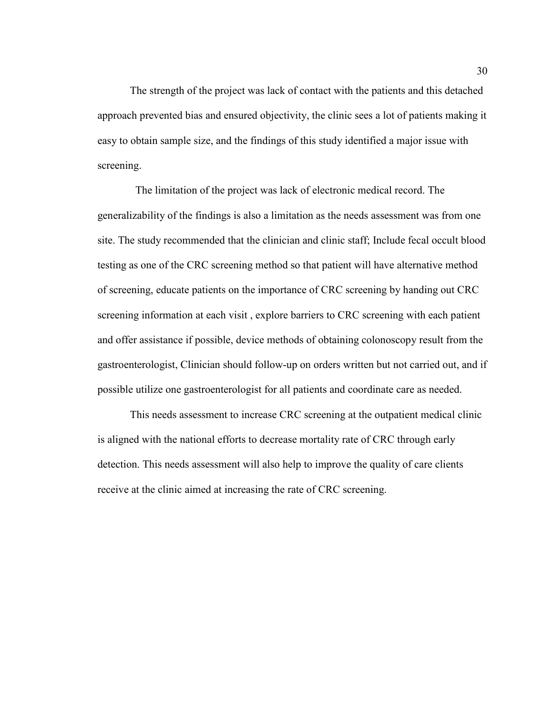The strength of the project was lack of contact with the patients and this detached approach prevented bias and ensured objectivity, the clinic sees a lot of patients making it easy to obtain sample size, and the findings of this study identified a major issue with screening.

 The limitation of the project was lack of electronic medical record. The generalizability of the findings is also a limitation as the needs assessment was from one site. The study recommended that the clinician and clinic staff; Include fecal occult blood testing as one of the CRC screening method so that patient will have alternative method of screening, educate patients on the importance of CRC screening by handing out CRC screening information at each visit , explore barriers to CRC screening with each patient and offer assistance if possible, device methods of obtaining colonoscopy result from the gastroenterologist, Clinician should follow-up on orders written but not carried out, and if possible utilize one gastroenterologist for all patients and coordinate care as needed.

This needs assessment to increase CRC screening at the outpatient medical clinic is aligned with the national efforts to decrease mortality rate of CRC through early detection. This needs assessment will also help to improve the quality of care clients receive at the clinic aimed at increasing the rate of CRC screening.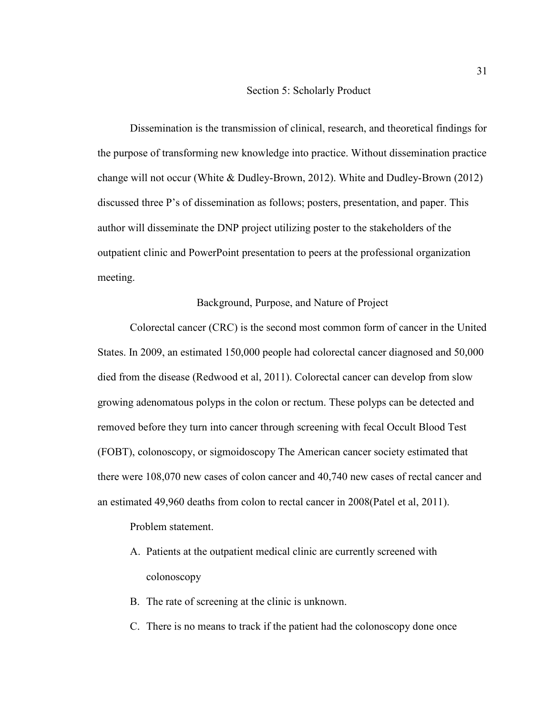#### Section 5: Scholarly Product

Dissemination is the transmission of clinical, research, and theoretical findings for the purpose of transforming new knowledge into practice. Without dissemination practice change will not occur (White & Dudley-Brown, 2012). White and Dudley-Brown (2012) discussed three P's of dissemination as follows; posters, presentation, and paper. This author will disseminate the DNP project utilizing poster to the stakeholders of the outpatient clinic and PowerPoint presentation to peers at the professional organization meeting.

#### Background, Purpose, and Nature of Project

Colorectal cancer (CRC) is the second most common form of cancer in the United States. In 2009, an estimated 150,000 people had colorectal cancer diagnosed and 50,000 died from the disease (Redwood et al, 2011). Colorectal cancer can develop from slow growing adenomatous polyps in the colon or rectum. These polyps can be detected and removed before they turn into cancer through screening with fecal Occult Blood Test (FOBT), colonoscopy, or sigmoidoscopy The American cancer society estimated that there were 108,070 new cases of colon cancer and 40,740 new cases of rectal cancer and an estimated 49,960 deaths from colon to rectal cancer in 2008(Patel et al, 2011).

Problem statement.

- A. Patients at the outpatient medical clinic are currently screened with colonoscopy
- B. The rate of screening at the clinic is unknown.
- C. There is no means to track if the patient had the colonoscopy done once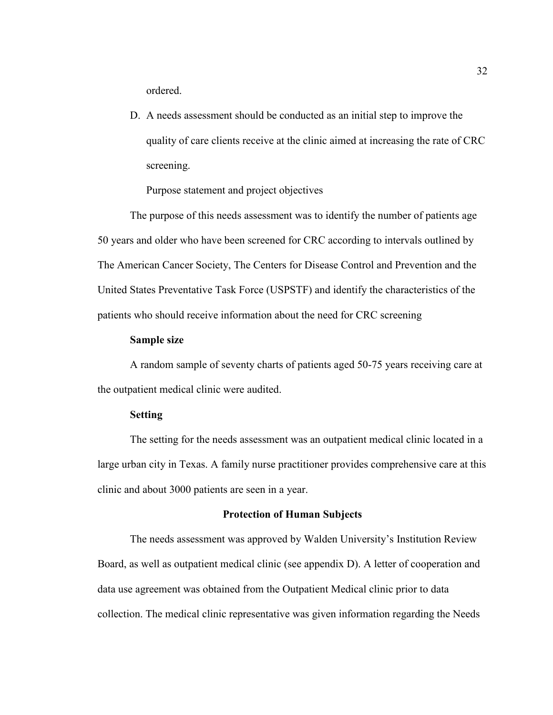ordered.

D. A needs assessment should be conducted as an initial step to improve the quality of care clients receive at the clinic aimed at increasing the rate of CRC screening.

Purpose statement and project objectives

The purpose of this needs assessment was to identify the number of patients age 50 years and older who have been screened for CRC according to intervals outlined by The American Cancer Society, The Centers for Disease Control and Prevention and the United States Preventative Task Force (USPSTF) and identify the characteristics of the patients who should receive information about the need for CRC screening

#### **Sample size**

A random sample of seventy charts of patients aged 50-75 years receiving care at the outpatient medical clinic were audited.

#### **Setting**

The setting for the needs assessment was an outpatient medical clinic located in a large urban city in Texas. A family nurse practitioner provides comprehensive care at this clinic and about 3000 patients are seen in a year.

#### **Protection of Human Subjects**

The needs assessment was approved by Walden University's Institution Review Board, as well as outpatient medical clinic (see appendix D). A letter of cooperation and data use agreement was obtained from the Outpatient Medical clinic prior to data collection. The medical clinic representative was given information regarding the Needs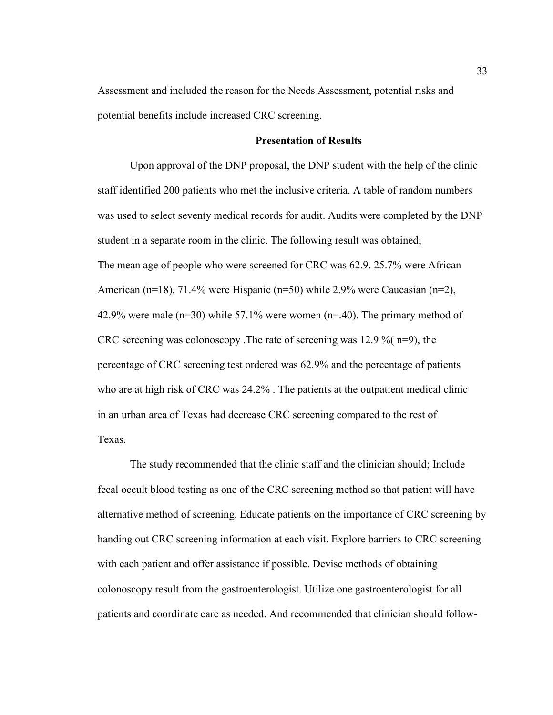Assessment and included the reason for the Needs Assessment, potential risks and potential benefits include increased CRC screening.

#### **Presentation of Results**

Upon approval of the DNP proposal, the DNP student with the help of the clinic staff identified 200 patients who met the inclusive criteria. A table of random numbers was used to select seventy medical records for audit. Audits were completed by the DNP student in a separate room in the clinic. The following result was obtained; The mean age of people who were screened for CRC was 62.9. 25.7% were African American (n=18), 71.4% were Hispanic (n=50) while 2.9% were Caucasian (n=2), 42.9% were male ( $n=30$ ) while 57.1% were women ( $n=40$ ). The primary method of CRC screening was colonoscopy .The rate of screening was 12.9 %( n=9), the percentage of CRC screening test ordered was 62.9% and the percentage of patients who are at high risk of CRC was 24.2% . The patients at the outpatient medical clinic in an urban area of Texas had decrease CRC screening compared to the rest of Texas.

The study recommended that the clinic staff and the clinician should; Include fecal occult blood testing as one of the CRC screening method so that patient will have alternative method of screening. Educate patients on the importance of CRC screening by handing out CRC screening information at each visit. Explore barriers to CRC screening with each patient and offer assistance if possible. Devise methods of obtaining colonoscopy result from the gastroenterologist. Utilize one gastroenterologist for all patients and coordinate care as needed. And recommended that clinician should follow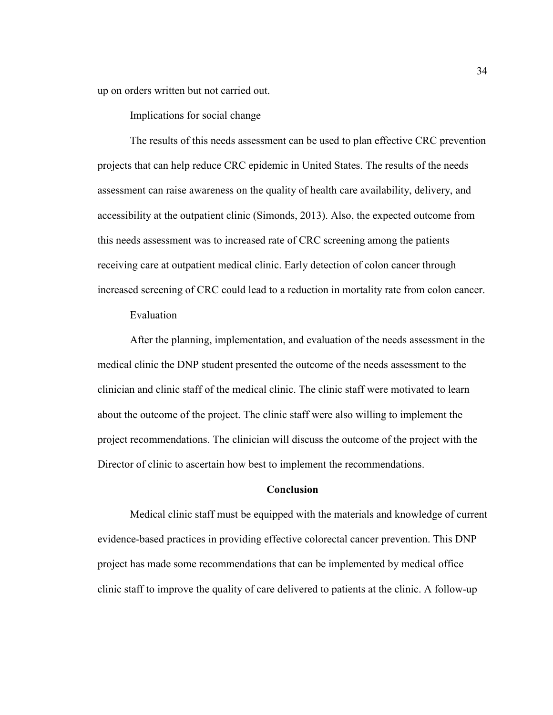up on orders written but not carried out.

Implications for social change

The results of this needs assessment can be used to plan effective CRC prevention projects that can help reduce CRC epidemic in United States. The results of the needs assessment can raise awareness on the quality of health care availability, delivery, and accessibility at the outpatient clinic (Simonds, 2013). Also, the expected outcome from this needs assessment was to increased rate of CRC screening among the patients receiving care at outpatient medical clinic. Early detection of colon cancer through increased screening of CRC could lead to a reduction in mortality rate from colon cancer.

Evaluation

After the planning, implementation, and evaluation of the needs assessment in the medical clinic the DNP student presented the outcome of the needs assessment to the clinician and clinic staff of the medical clinic. The clinic staff were motivated to learn about the outcome of the project. The clinic staff were also willing to implement the project recommendations. The clinician will discuss the outcome of the project with the Director of clinic to ascertain how best to implement the recommendations.

#### **Conclusion**

Medical clinic staff must be equipped with the materials and knowledge of current evidence-based practices in providing effective colorectal cancer prevention. This DNP project has made some recommendations that can be implemented by medical office clinic staff to improve the quality of care delivered to patients at the clinic. A follow-up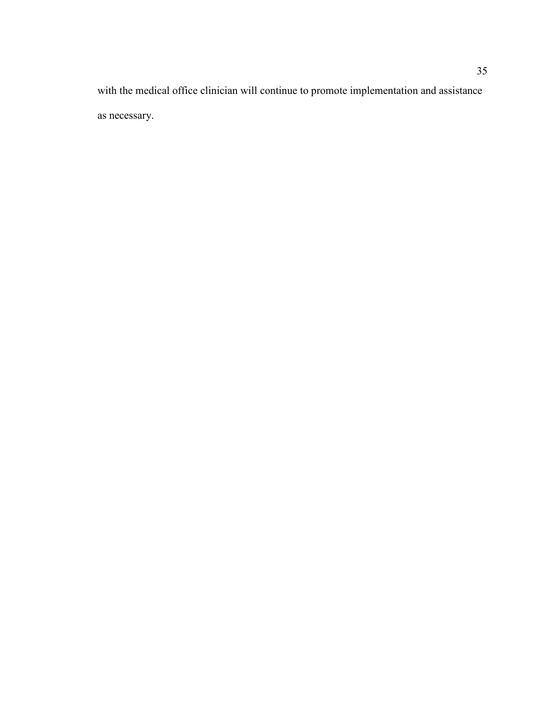with the medical office clinician will continue to promote implementation and assistance as necessary.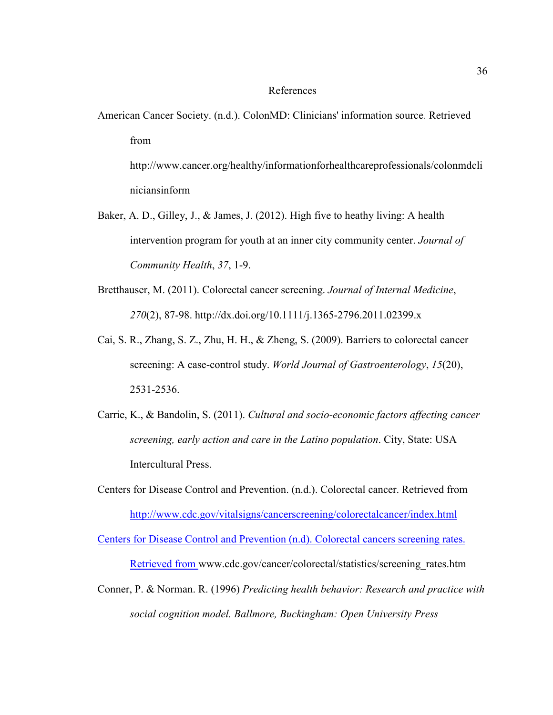#### References

American Cancer Society. (n.d.). ColonMD: Clinicians' information source. Retrieved from

http://www.cancer.org/healthy/informationforhealthcareprofessionals/colonmdcli niciansinform

- Baker, A. D., Gilley, J., & James, J. (2012). High five to heathy living: A health intervention program for youth at an inner city community center. *Journal of Community Health*, *37*, 1-9.
- Bretthauser, M. (2011). Colorectal cancer screening. *Journal of Internal Medicine*, *270*(2), 87-98. http://dx.doi.org/10.1111/j.1365-2796.2011.02399.x
- Cai, S. R., Zhang, S. Z., Zhu, H. H., & Zheng, S. (2009). Barriers to colorectal cancer screening: A case-control study. *World Journal of Gastroenterology*, *15*(20), 2531-2536.
- Carrie, K., & Bandolin, S. (2011). *Cultural and socio-economic factors affecting cancer screening, early action and care in the Latino population*. City, State: USA Intercultural Press.
- Centers for Disease Control and Prevention. (n.d.). Colorectal cancer. Retrieved from http://www.cdc.gov/vitalsigns/cancerscreening/colorectalcancer/index.html

Centers for Disease Control and Prevention (n.d). Colorectal cancers screening rates. Retrieved from www.cdc.gov/cancer/colorectal/statistics/screening\_rates.htm

Conner, P. & Norman. R. (1996) *Predicting health behavior: Research and practice with social cognition model. Ballmore, Buckingham: Open University Press*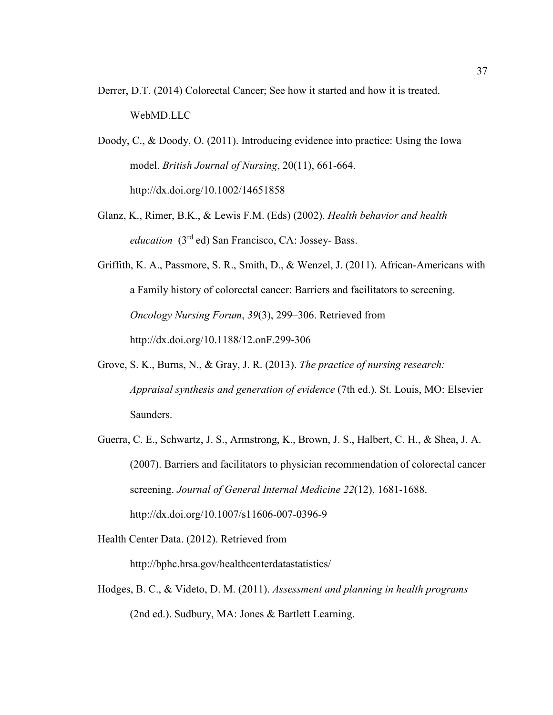- Derrer, D.T. (2014) Colorectal Cancer; See how it started and how it is treated. WebMD.LLC
- Doody, C., & Doody, O. (2011). Introducing evidence into practice: Using the Iowa model. *British Journal of Nursing*, 20(11), 661-664. http://dx.doi.org/10.1002/14651858
- Glanz, K., Rimer, B.K., & Lewis F.M. (Eds) (2002). *Health behavior and health education* (3rd ed) San Francisco, CA: Jossey- Bass.
- Griffith, K. A., Passmore, S. R., Smith, D., & Wenzel, J. (2011). African-Americans with a Family history of colorectal cancer: Barriers and facilitators to screening. *Oncology Nursing Forum*, *39*(3), 299–306. Retrieved from http://dx.doi.org/10.1188/12.onF.299-306
- Grove, S. K., Burns, N., & Gray, J. R. (2013). *The practice of nursing research: Appraisal synthesis and generation of evidence* (7th ed.). St. Louis, MO: Elsevier Saunders.
- Guerra, C. E., Schwartz, J. S., Armstrong, K., Brown, J. S., Halbert, C. H., & Shea, J. A. (2007). Barriers and facilitators to physician recommendation of colorectal cancer screening. *Journal of General Internal Medicine 22*(12), 1681-1688. http://dx.doi.org/10.1007/s11606-007-0396-9
- Health Center Data. (2012). Retrieved from http://bphc.hrsa.gov/healthcenterdatastatistics/
- Hodges, B. C., & Videto, D. M. (2011). *Assessment and planning in health programs*  (2nd ed.). Sudbury, MA: Jones & Bartlett Learning.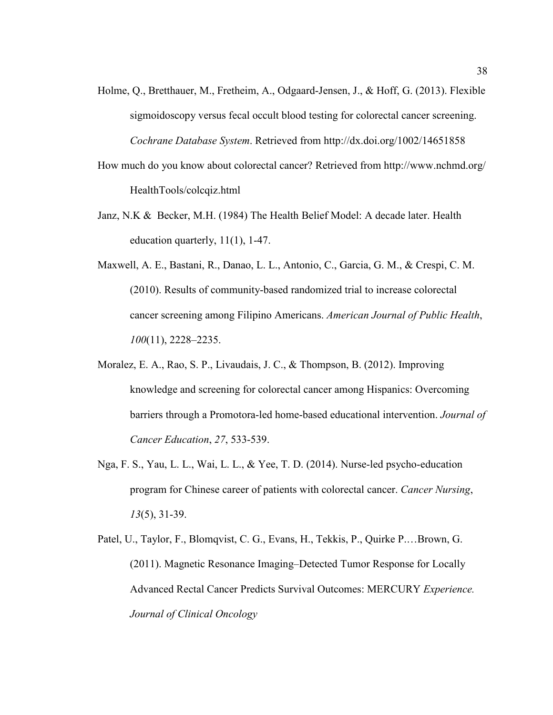- Holme, Q., Bretthauer, M., Fretheim, A., Odgaard-Jensen, J., & Hoff, G. (2013). Flexible sigmoidoscopy versus fecal occult blood testing for colorectal cancer screening. *Cochrane Database System*. Retrieved from http://dx.doi.org/1002/14651858
- How much do you know about colorectal cancer? Retrieved from http://www.nchmd.org/ HealthTools/colcqiz.html
- Janz, N.K & Becker, M.H. (1984) The Health Belief Model: A decade later. Health education quarterly, 11(1), 1-47.
- Maxwell, A. E., Bastani, R., Danao, L. L., Antonio, C., Garcia, G. M., & Crespi, C. M. (2010). Results of community-based randomized trial to increase colorectal cancer screening among Filipino Americans. *American Journal of Public Health*, *100*(11), 2228–2235.
- Moralez, E. A., Rao, S. P., Livaudais, J. C., & Thompson, B. (2012). Improving knowledge and screening for colorectal cancer among Hispanics: Overcoming barriers through a Promotora-led home-based educational intervention. *Journal of Cancer Education*, *27*, 533-539.
- Nga, F. S., Yau, L. L., Wai, L. L., & Yee, T. D. (2014). Nurse-led psycho-education program for Chinese career of patients with colorectal cancer. *Cancer Nursing*, *13*(5), 31-39.
- Patel, U., Taylor, F., Blomqvist, C. G., Evans, H., Tekkis, P., Quirke P.…Brown, G. (2011). Magnetic Resonance Imaging–Detected Tumor Response for Locally Advanced Rectal Cancer Predicts Survival Outcomes: MERCURY *Experience. Journal of Clinical Oncology*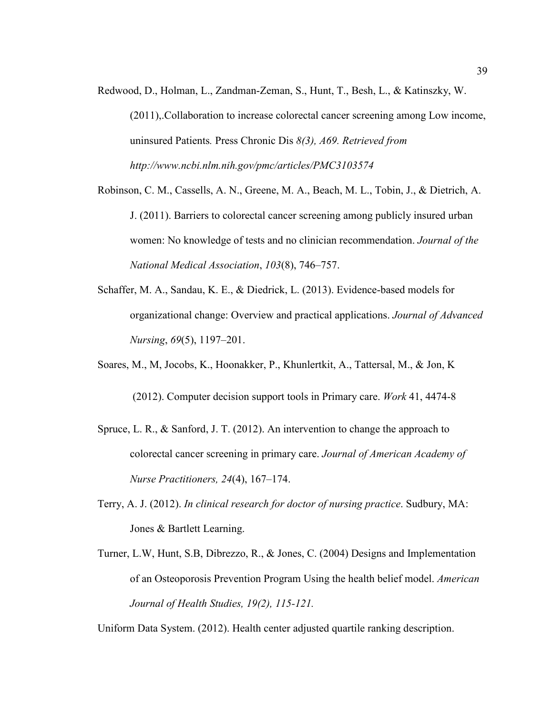Redwood, D., Holman, L., Zandman-Zeman, S., Hunt, T., Besh, L., & Katinszky, W.

 (2011),.Collaboration to increase colorectal cancer screening among Low income, uninsured Patients*.* Press Chronic Dis *8(3), A69. Retrieved from http://www.ncbi.nlm.nih.gov/pmc/articles/PMC3103574* 

Robinson, C. M., Cassells, A. N., Greene, M. A., Beach, M. L., Tobin, J., & Dietrich, A. J. (2011). Barriers to colorectal cancer screening among publicly insured urban women: No knowledge of tests and no clinician recommendation. *Journal of the National Medical Association*, *103*(8), 746–757.

Schaffer, M. A., Sandau, K. E., & Diedrick, L. (2013). Evidence-based models for organizational change: Overview and practical applications. *Journal of Advanced Nursing*, *69*(5), 1197–201.

Soares, M., M, Jocobs, K., Hoonakker, P., Khunlertkit, A., Tattersal, M., & Jon, K

(2012). Computer decision support tools in Primary care. *Work* 41, 4474-8

- Spruce, L. R., & Sanford, J. T. (2012). An intervention to change the approach to colorectal cancer screening in primary care. *Journal of American Academy of Nurse Practitioners, 24*(4), 167–174.
- Terry, A. J. (2012). *In clinical research for doctor of nursing practice*. Sudbury, MA: Jones & Bartlett Learning.
- Turner, L.W, Hunt, S.B, Dibrezzo, R., & Jones, C. (2004) Designs and Implementation of an Osteoporosis Prevention Program Using the health belief model. *American Journal of Health Studies, 19(2), 115-121.*

Uniform Data System. (2012). Health center adjusted quartile ranking description.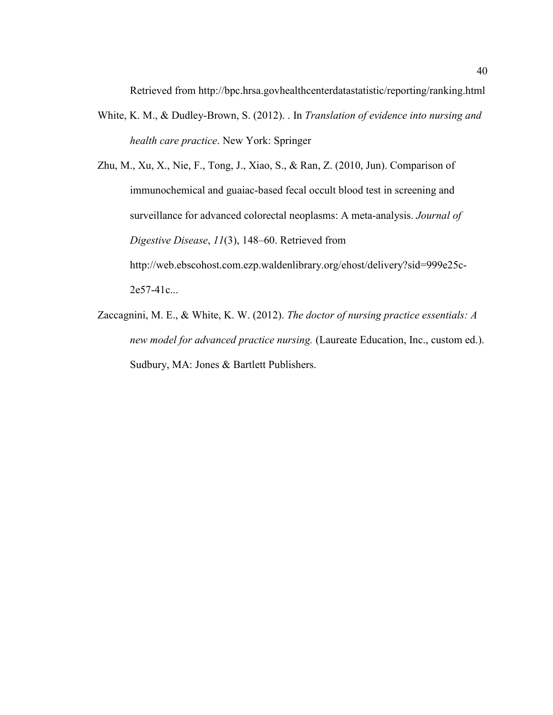Retrieved from http://bpc.hrsa.govhealthcenterdatastatistic/reporting/ranking.html

White, K. M., & Dudley-Brown, S. (2012). . In *Translation of evidence into nursing and health care practice*. New York: Springer

Zhu, M., Xu, X., Nie, F., Tong, J., Xiao, S., & Ran, Z. (2010, Jun). Comparison of immunochemical and guaiac-based fecal occult blood test in screening and surveillance for advanced colorectal neoplasms: A meta-analysis. *Journal of Digestive Disease*, *11*(3), 148–60. Retrieved from http://web.ebscohost.com.ezp.waldenlibrary.org/ehost/delivery?sid=999e25c-

2e57-41c...

Zaccagnini, M. E., & White, K. W. (2012). *The doctor of nursing practice essentials: A new model for advanced practice nursing.* (Laureate Education, Inc., custom ed.). Sudbury, MA: Jones & Bartlett Publishers.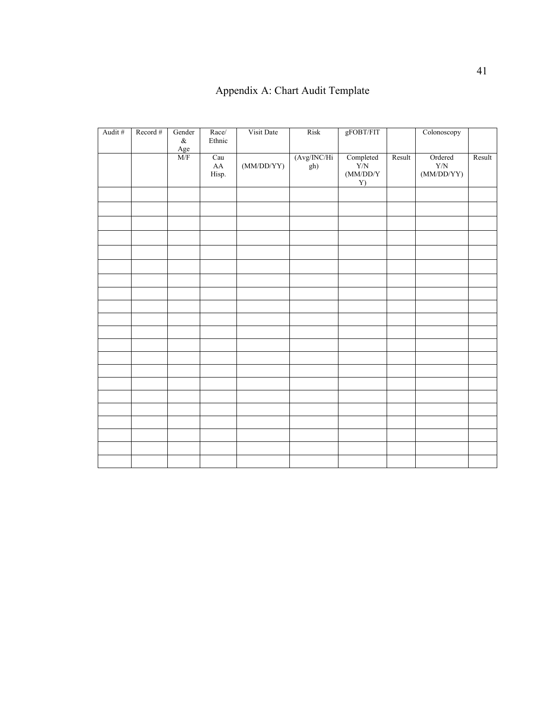## Appendix A: Chart Audit Template

| Audit # | Record # | Gender<br>$\&$                  | Race/<br>Ethnic            | Visit Date | Risk                | ${\tt gFOBT/FIT}$                                                                |        | Colonoscopy                          |        |
|---------|----------|---------------------------------|----------------------------|------------|---------------------|----------------------------------------------------------------------------------|--------|--------------------------------------|--------|
|         |          | $\frac{\text{Age}}{\text{M/F}}$ | Cau<br>${\rm AA}$<br>Hisp. | (MM/DD/YY) | (Avg/INC/Hi)<br>gh) | $\begin{array}{c} \text{Completed} \\ \text{Y/N} \end{array}$<br>(MM/DD/Y)<br>Y) | Result | Ordered<br>${\rm Y/N}$<br>(MM/DD/YY) | Result |
|         |          |                                 |                            |            |                     |                                                                                  |        |                                      |        |
|         |          |                                 |                            |            |                     |                                                                                  |        |                                      |        |
|         |          |                                 |                            |            |                     |                                                                                  |        |                                      |        |
|         |          |                                 |                            |            |                     |                                                                                  |        |                                      |        |
|         |          |                                 |                            |            |                     |                                                                                  |        |                                      |        |
|         |          |                                 |                            |            |                     |                                                                                  |        |                                      |        |
|         |          |                                 |                            |            |                     |                                                                                  |        |                                      |        |
|         |          |                                 |                            |            |                     |                                                                                  |        |                                      |        |
|         |          |                                 |                            |            |                     |                                                                                  |        |                                      |        |
|         |          |                                 |                            |            |                     |                                                                                  |        |                                      |        |
|         |          |                                 |                            |            |                     |                                                                                  |        |                                      |        |
|         |          |                                 |                            |            |                     |                                                                                  |        |                                      |        |
|         |          |                                 |                            |            |                     |                                                                                  |        |                                      |        |
|         |          |                                 |                            |            |                     |                                                                                  |        |                                      |        |
|         |          |                                 |                            |            |                     |                                                                                  |        |                                      |        |
|         |          |                                 |                            |            |                     |                                                                                  |        |                                      |        |
|         |          |                                 |                            |            |                     |                                                                                  |        |                                      |        |
|         |          |                                 |                            |            |                     |                                                                                  |        |                                      |        |
|         |          |                                 |                            |            |                     |                                                                                  |        |                                      |        |
|         |          |                                 |                            |            |                     |                                                                                  |        |                                      |        |
|         |          |                                 |                            |            |                     |                                                                                  |        |                                      |        |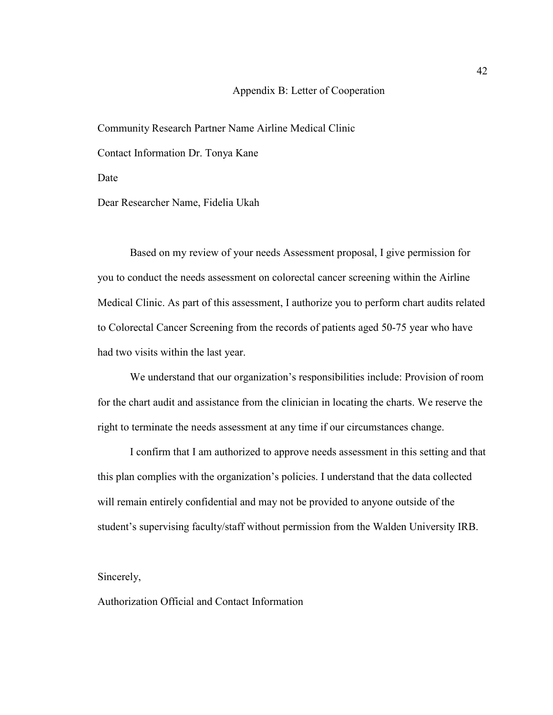#### Appendix B: Letter of Cooperation

Community Research Partner Name Airline Medical Clinic

Contact Information Dr. Tonya Kane

Date

Dear Researcher Name, Fidelia Ukah

Based on my review of your needs Assessment proposal, I give permission for you to conduct the needs assessment on colorectal cancer screening within the Airline Medical Clinic. As part of this assessment, I authorize you to perform chart audits related to Colorectal Cancer Screening from the records of patients aged 50-75 year who have had two visits within the last year.

We understand that our organization's responsibilities include: Provision of room for the chart audit and assistance from the clinician in locating the charts. We reserve the right to terminate the needs assessment at any time if our circumstances change.

I confirm that I am authorized to approve needs assessment in this setting and that this plan complies with the organization's policies. I understand that the data collected will remain entirely confidential and may not be provided to anyone outside of the student's supervising faculty/staff without permission from the Walden University IRB.

Sincerely,

Authorization Official and Contact Information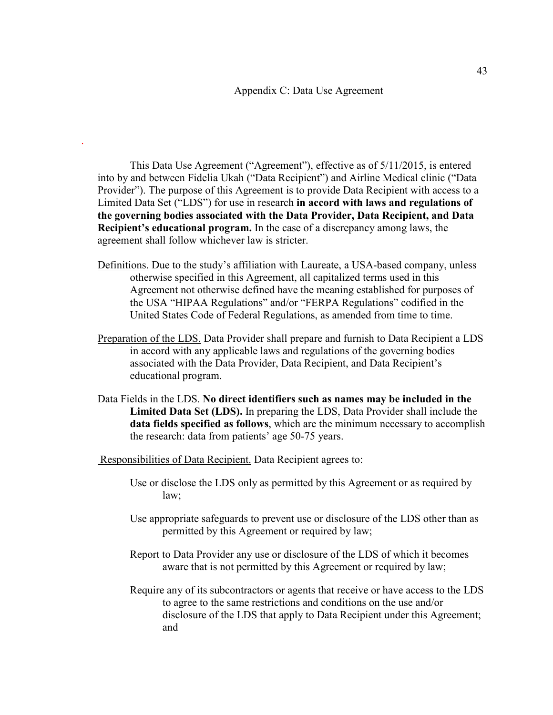This Data Use Agreement ("Agreement"), effective as of 5/11/2015, is entered into by and between Fidelia Ukah ("Data Recipient") and Airline Medical clinic ("Data Provider"). The purpose of this Agreement is to provide Data Recipient with access to a Limited Data Set ("LDS") for use in research **in accord with laws and regulations of the governing bodies associated with the Data Provider, Data Recipient, and Data Recipient's educational program.** In the case of a discrepancy among laws, the agreement shall follow whichever law is stricter.

- Definitions. Due to the study's affiliation with Laureate, a USA-based company, unless otherwise specified in this Agreement, all capitalized terms used in this Agreement not otherwise defined have the meaning established for purposes of the USA "HIPAA Regulations" and/or "FERPA Regulations" codified in the United States Code of Federal Regulations, as amended from time to time.
- Preparation of the LDS. Data Provider shall prepare and furnish to Data Recipient a LDS in accord with any applicable laws and regulations of the governing bodies associated with the Data Provider, Data Recipient, and Data Recipient's educational program.
- Data Fields in the LDS. **No direct identifiers such as names may be included in the Limited Data Set (LDS).** In preparing the LDS, Data Provider shall include the **data fields specified as follows**, which are the minimum necessary to accomplish the research: data from patients' age 50-75 years.

Responsibilities of Data Recipient. Data Recipient agrees to:

.

- Use or disclose the LDS only as permitted by this Agreement or as required by law;
- Use appropriate safeguards to prevent use or disclosure of the LDS other than as permitted by this Agreement or required by law;
- Report to Data Provider any use or disclosure of the LDS of which it becomes aware that is not permitted by this Agreement or required by law;
- Require any of its subcontractors or agents that receive or have access to the LDS to agree to the same restrictions and conditions on the use and/or disclosure of the LDS that apply to Data Recipient under this Agreement; and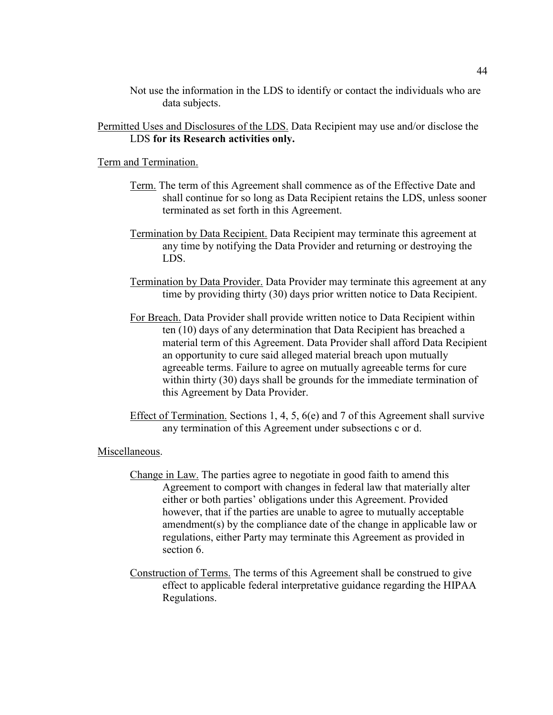Not use the information in the LDS to identify or contact the individuals who are data subjects.

Permitted Uses and Disclosures of the LDS. Data Recipient may use and/or disclose the LDS **for its Research activities only.**

Term and Termination.

- Term. The term of this Agreement shall commence as of the Effective Date and shall continue for so long as Data Recipient retains the LDS, unless sooner terminated as set forth in this Agreement.
- Termination by Data Recipient. Data Recipient may terminate this agreement at any time by notifying the Data Provider and returning or destroying the LDS.
- Termination by Data Provider. Data Provider may terminate this agreement at any time by providing thirty (30) days prior written notice to Data Recipient.
- For Breach. Data Provider shall provide written notice to Data Recipient within ten (10) days of any determination that Data Recipient has breached a material term of this Agreement. Data Provider shall afford Data Recipient an opportunity to cure said alleged material breach upon mutually agreeable terms. Failure to agree on mutually agreeable terms for cure within thirty (30) days shall be grounds for the immediate termination of this Agreement by Data Provider.
- Effect of Termination. Sections 1, 4, 5, 6(e) and 7 of this Agreement shall survive any termination of this Agreement under subsections c or d.

#### Miscellaneous.

- Change in Law. The parties agree to negotiate in good faith to amend this Agreement to comport with changes in federal law that materially alter either or both parties' obligations under this Agreement. Provided however, that if the parties are unable to agree to mutually acceptable amendment(s) by the compliance date of the change in applicable law or regulations, either Party may terminate this Agreement as provided in section 6.
- Construction of Terms. The terms of this Agreement shall be construed to give effect to applicable federal interpretative guidance regarding the HIPAA Regulations.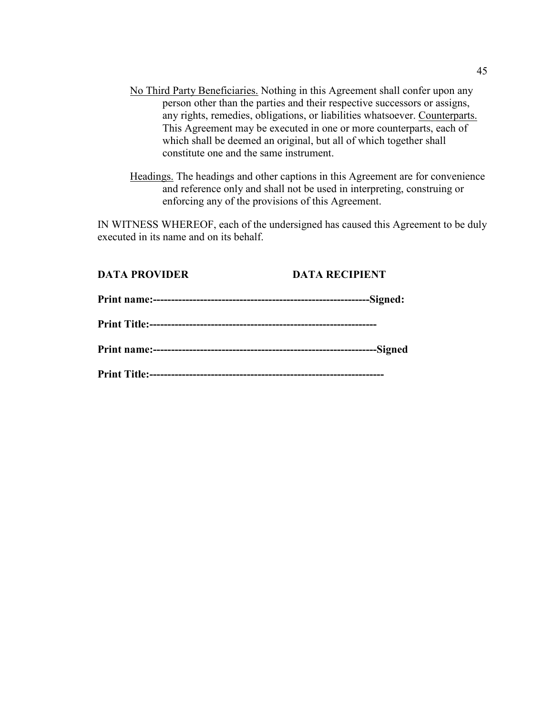- No Third Party Beneficiaries. Nothing in this Agreement shall confer upon any person other than the parties and their respective successors or assigns, any rights, remedies, obligations, or liabilities whatsoever. Counterparts. This Agreement may be executed in one or more counterparts, each of which shall be deemed an original, but all of which together shall constitute one and the same instrument.
- Headings. The headings and other captions in this Agreement are for convenience and reference only and shall not be used in interpreting, construing or enforcing any of the provisions of this Agreement.

IN WITNESS WHEREOF, each of the undersigned has caused this Agreement to be duly executed in its name and on its behalf.

#### **DATA PROVIDER DATA RECIPIENT**